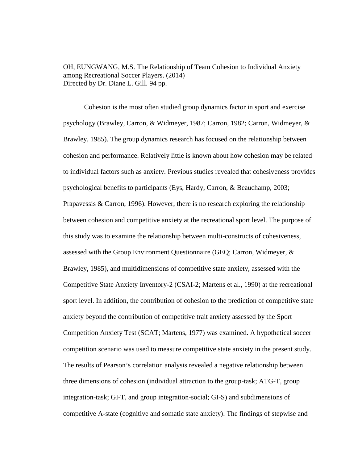OH, EUNGWANG, M.S. The Relationship of Team Cohesion to Individual Anxiety among Recreational Soccer Players. (2014) Directed by Dr. Diane L. Gill. 94 pp.

Cohesion is the most often studied group dynamics factor in sport and exercise psychology (Brawley, Carron, & Widmeyer, 1987; Carron, 1982; Carron, Widmeyer, & Brawley, 1985). The group dynamics research has focused on the relationship between cohesion and performance. Relatively little is known about how cohesion may be related to individual factors such as anxiety. Previous studies revealed that cohesiveness provides psychological benefits to participants (Eys, Hardy, Carron, & Beauchamp, 2003; Prapavessis  $\&$  Carron, 1996). However, there is no research exploring the relationship between cohesion and competitive anxiety at the recreational sport level. The purpose of this study was to examine the relationship between multi-constructs of cohesiveness, assessed with the Group Environment Questionnaire (GEQ; Carron, Widmeyer, & Brawley, 1985), and multidimensions of competitive state anxiety, assessed with the Competitive State Anxiety Inventory-2 (CSAI-2; Martens et al., 1990) at the recreational sport level. In addition, the contribution of cohesion to the prediction of competitive state anxiety beyond the contribution of competitive trait anxiety assessed by the Sport Competition Anxiety Test (SCAT; Martens, 1977) was examined. A hypothetical soccer competition scenario was used to measure competitive state anxiety in the present study. The results of Pearson's correlation analysis revealed a negative relationship between three dimensions of cohesion (individual attraction to the group-task; ATG-T, group integration-task; GI-T, and group integration-social; GI-S) and subdimensions of competitive A-state (cognitive and somatic state anxiety). The findings of stepwise and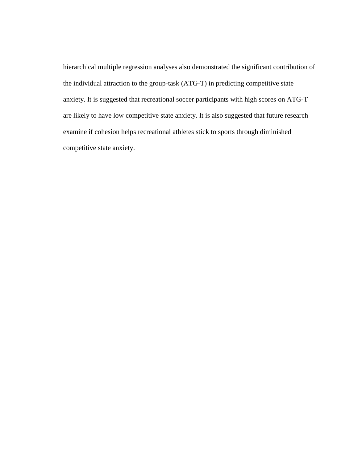hierarchical multiple regression analyses also demonstrated the significant contribution of the individual attraction to the group-task (ATG-T) in predicting competitive state anxiety. It is suggested that recreational soccer participants with high scores on ATG-T are likely to have low competitive state anxiety. It is also suggested that future research examine if cohesion helps recreational athletes stick to sports through diminished competitive state anxiety.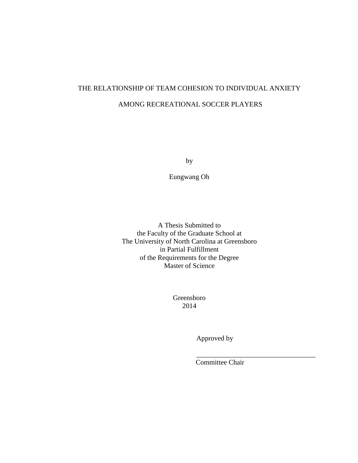# THE RELATIONSHIP OF TEAM COHESION TO INDIVIDUAL ANXIETY AMONG RECREATIONAL SOCCER PLAYERS

by

Eungwang Oh

A Thesis Submitted to the Faculty of the Graduate School at The University of North Carolina at Greensboro in Partial Fulfillment of the Requirements for the Degree Master of Science

> Greensboro 2014

> > Approved by

Committee Chair

\_\_\_\_\_\_\_\_\_\_\_\_\_\_\_\_\_\_\_\_\_\_\_\_\_\_\_\_\_\_\_\_\_\_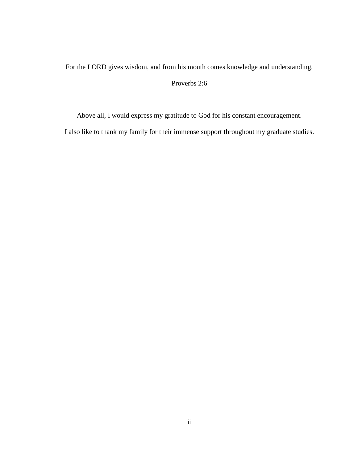For the LORD gives wisdom, and from his mouth comes knowledge and understanding.

# Proverbs 2:6

Above all, I would express my gratitude to God for his constant encouragement.

I also like to thank my family for their immense support throughout my graduate studies.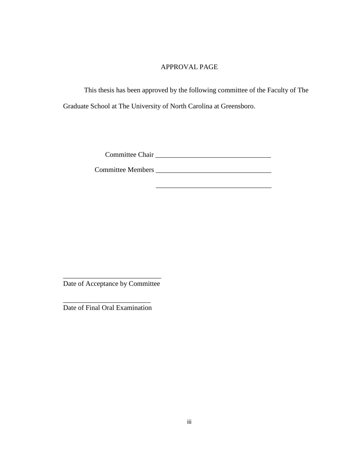# APPROVAL PAGE

This thesis has been approved by the following committee of the Faculty of The Graduate School at The University of North Carolina at Greensboro.

Committee Chair \_\_\_\_\_\_\_\_\_\_\_\_\_\_\_\_\_\_\_\_\_\_\_\_\_\_\_\_\_\_\_\_\_

\_\_\_\_\_\_\_\_\_\_\_\_\_\_\_\_\_\_\_\_\_\_\_\_\_\_\_\_\_\_\_\_\_

Committee Members \_\_\_\_\_\_\_\_\_\_\_\_\_\_\_\_\_\_\_\_\_\_\_\_\_\_\_\_\_\_\_\_\_

Date of Acceptance by Committee

\_\_\_\_\_\_\_\_\_\_\_\_\_\_\_\_\_\_\_\_\_\_\_\_\_\_\_\_

\_\_\_\_\_\_\_\_\_\_\_\_\_\_\_\_\_\_\_\_\_\_\_\_\_

Date of Final Oral Examination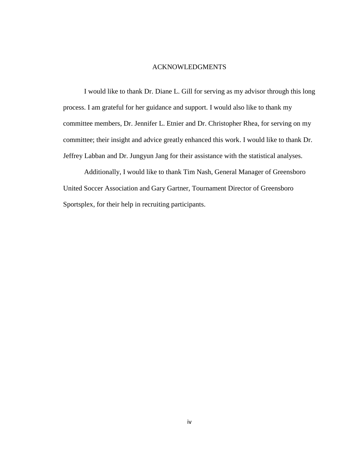#### ACKNOWLEDGMENTS

I would like to thank Dr. Diane L. Gill for serving as my advisor through this long process. I am grateful for her guidance and support. I would also like to thank my committee members, Dr. Jennifer L. Etnier and Dr. Christopher Rhea, for serving on my committee; their insight and advice greatly enhanced this work. I would like to thank Dr. Jeffrey Labban and Dr. Jungyun Jang for their assistance with the statistical analyses.

Additionally, I would like to thank Tim Nash, General Manager of Greensboro United Soccer Association and Gary Gartner, Tournament Director of Greensboro Sportsplex, for their help in recruiting participants.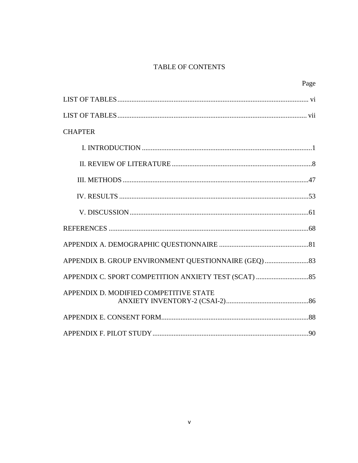# **TABLE OF CONTENTS**

|                                        | Page |
|----------------------------------------|------|
|                                        |      |
|                                        |      |
| <b>CHAPTER</b>                         |      |
|                                        |      |
|                                        |      |
|                                        |      |
|                                        |      |
|                                        |      |
|                                        |      |
|                                        |      |
|                                        |      |
|                                        |      |
| APPENDIX D. MODIFIED COMPETITIVE STATE |      |
|                                        |      |
|                                        |      |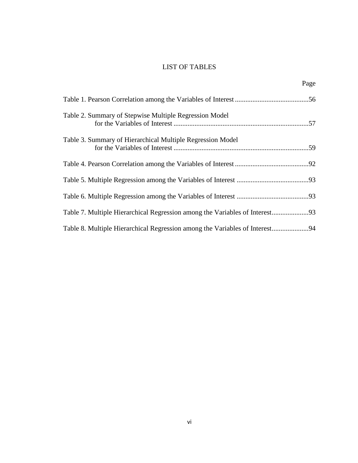# LIST OF TABLES

Page

| Table 2. Summary of Stepwise Multiple Regression Model                      |  |
|-----------------------------------------------------------------------------|--|
| Table 3. Summary of Hierarchical Multiple Regression Model                  |  |
|                                                                             |  |
|                                                                             |  |
|                                                                             |  |
|                                                                             |  |
| Table 8. Multiple Hierarchical Regression among the Variables of Interest94 |  |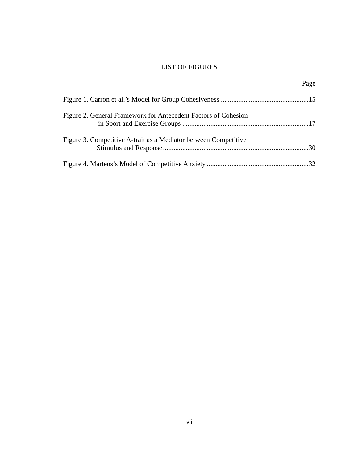# LIST OF FIGURES

|                                                                 | Page |
|-----------------------------------------------------------------|------|
|                                                                 |      |
| Figure 2. General Framework for Antecedent Factors of Cohesion  |      |
| Figure 3. Competitive A-trait as a Mediator between Competitive |      |
|                                                                 |      |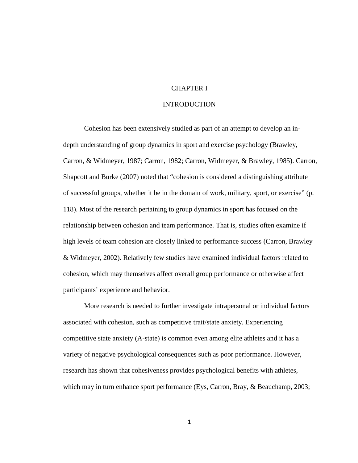# CHAPTER I

## INTRODUCTION

Cohesion has been extensively studied as part of an attempt to develop an in depth understanding of group dynamics in sport and exercise psychology (Brawley, Carron, & Widmeyer, 1987; Carron, 1982; Carron, Widmeyer, & Brawley, 1985). Carron, Shapcott and Burke (2007) noted that "cohesion is considered a distinguishing attribute of successful groups, whether it be in the domain of work, military, sport, or exercise" (p. 118). Most of the research pertaining to group dynamics in sport has focused on the relationship between cohesion and team performance. That is, studies often examine if high levels of team cohesion are closely linked to performance success (Carron, Brawley & Widmeyer, 2002). Relatively few studies have examined individual factors related to cohesion, which may themselves affect overall group performance or otherwise affect participants' experience and behavior.

More research is needed to further investigate intrapersonal or individual factors associated with cohesion, such as competitive trait/state anxiety. Experiencing competitive state anxiety (A-state) is common even among elite athletes and it has a variety of negative psychological consequences such as poor performance. However, research has shown that cohesiveness provides psychological benefits with athletes, which may in turn enhance sport performance (Eys, Carron, Bray, & Beauchamp, 2003;

1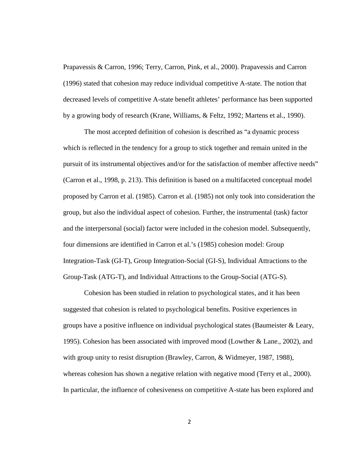Prapavessis & Carron, 1996; Terry, Carron, Pink, et al., 2000). Prapavessis and Carron (1996) stated that cohesion may reduce individual competitive A-state. The notion that decreased levels of competitive A-state benefit athletes' performance has been supported by a growing body of research (Krane, Williams, & Feltz, 1992; Martens et al., 1990).

The most accepted definition of cohesion is described as "a dynamic process which is reflected in the tendency for a group to stick together and remain united in the pursuit of its instrumental objectives and/or for the satisfaction of member affective needs" (Carron et al., 1998, p. 213). This definition is based on a multifaceted conceptual model proposed by Carron et al. (1985). Carron et al. (1985) not only took into consideration the group, but also the individual aspect of cohesion. Further, the instrumental (task) factor and the interpersonal (social) factor were included in the cohesion model. Subsequently, four dimensions are identified in Carron et al.'s (1985) cohesion model: Group Integration-Task (GI-T), Group Integration-Social (GI-S), Individual Attractions to the Group-Task (ATG-T), and Individual Attractions to the Group-Social (ATG-S).

Cohesion has been studied in relation to psychological states, and it has been suggested that cohesion is related to psychological benefits. Positive experiences in groups have a positive influence on individual psychological states (Baumeister & Leary, 1995). Cohesion has been associated with improved mood (Lowther & Lane., 2002), and with group unity to resist disruption (Brawley, Carron, & Widmeyer, 1987, 1988), whereas cohesion has shown a negative relation with negative mood (Terry et al., 2000). In particular, the influence of cohesiveness on competitive A-state has been explored and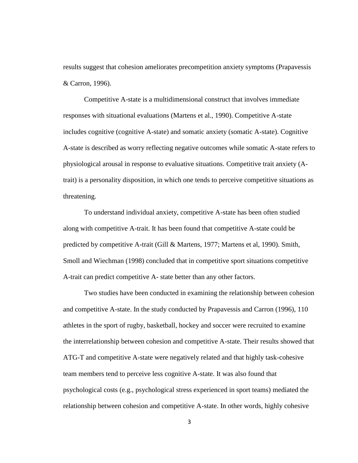results suggest that cohesion ameliorates precompetition anxiety symptoms (Prapavessis & Carron, 1996).

Competitive A-state is a multidimensional construct that involves immediate responses with situational evaluations (Martens et al., 1990). Competitive A-state includes cognitive (cognitive A-state) and somatic anxiety (somatic A-state). Cognitive A-state is described as worry reflecting negative outcomes while somatic A-state refers to physiological arousal in response to evaluative situations. Competitive trait anxiety (Atrait) is a personality disposition, in which one tends to perceive competitive situations as threatening.

To understand individual anxiety, competitive A-state has been often studied along with competitive A-trait. It has been found that competitive A-state could be predicted by competitive A-trait (Gill & Martens, 1977; Martens et al, 1990). Smith, Smoll and Wiechman (1998) concluded that in competitive sport situations competitive A-trait can predict competitive A- state better than any other factors.

Two studies have been conducted in examining the relationship between cohesion and competitive A-state. In the study conducted by Prapavessis and Carron (1996), 110 athletes in the sport of rugby, basketball, hockey and soccer were recruited to examine the interrelationship between cohesion and competitive A-state. Their results showed that ATG-T and competitive A-state were negatively related and that highly task-cohesive team members tend to perceive less cognitive A-state. It was also found that psychological costs (e.g., psychological stress experienced in sport teams) mediated the relationship between cohesion and competitive A-state. In other words, highly cohesive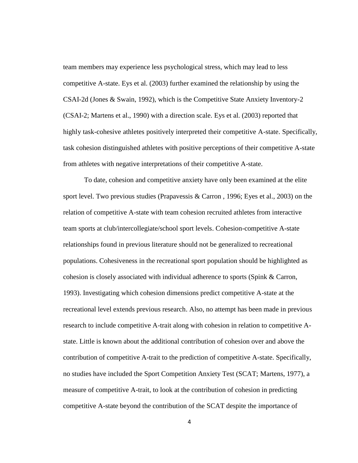team members may experience less psychological stress, which may lead to less competitive A-state. Eys et al. (2003) further examined the relationship by using the CSAI-2d (Jones & Swain, 1992), which is the Competitive State Anxiety Inventory-2 (CSAI-2; Martens et al., 1990) with a direction scale. Eys et al. (2003) reported that highly task-cohesive athletes positively interpreted their competitive A-state. Specifically, task cohesion distinguished athletes with positive perceptions of their competitive A-state from athletes with negative interpretations of their competitive A-state.

To date, cohesion and competitive anxiety have only been examined at the elite sport level. Two previous studies (Prapavessis & Carron , 1996; Eyes et al., 2003) on the relation of competitive A-state with team cohesion recruited athletes from interactive team sports at club/intercollegiate/school sport levels. Cohesion-competitive A-state relationships found in previous literature should not be generalized to recreational populations. Cohesiveness in the recreational sport population should be highlighted as cohesion is closely associated with individual adherence to sports (Spink & Carron, 1993). Investigating which cohesion dimensions predict competitive A-state at the recreational level extends previous research. Also, no attempt has been made in previous research to include competitive A-trait along with cohesion in relation to competitive A state. Little is known about the additional contribution of cohesion over and above the contribution of competitive A-trait to the prediction of competitive A-state. Specifically, no studies have included the Sport Competition Anxiety Test (SCAT; Martens, 1977), a measure of competitive A-trait, to look at the contribution of cohesion in predicting competitive A-state beyond the contribution of the SCAT despite the importance of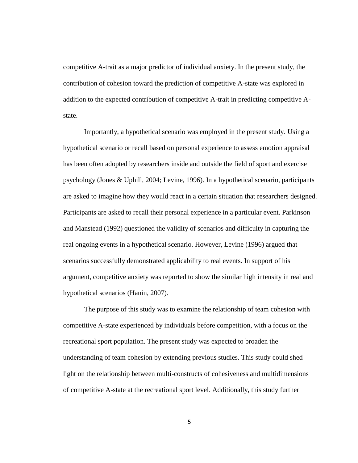competitive A-trait as a major predictor of individual anxiety. In the present study, the contribution of cohesion toward the prediction of competitive A-state was explored in addition to the expected contribution of competitive A-trait in predicting competitive A state.

Importantly, a hypothetical scenario was employed in the present study. Using a hypothetical scenario or recall based on personal experience to assess emotion appraisal has been often adopted by researchers inside and outside the field of sport and exercise psychology (Jones & Uphill, 2004; Levine, 1996). In a hypothetical scenario, participants are asked to imagine how they would react in a certain situation that researchers designed. Participants are asked to recall their personal experience in a particular event. Parkinson and Manstead (1992) questioned the validity of scenarios and difficulty in capturing the real ongoing events in a hypothetical scenario. However, Levine (1996) argued that scenarios successfully demonstrated applicability to real events. In support of his argument, competitive anxiety was reported to show the similar high intensity in real and hypothetical scenarios (Hanin, 2007).

The purpose of this study was to examine the relationship of team cohesion with competitive A-state experienced by individuals before competition, with a focus on the recreational sport population. The present study was expected to broaden the understanding of team cohesion by extending previous studies. This study could shed light on the relationship between multi-constructs of cohesiveness and multidimensions of competitive A-state at the recreational sport level. Additionally, this study further

5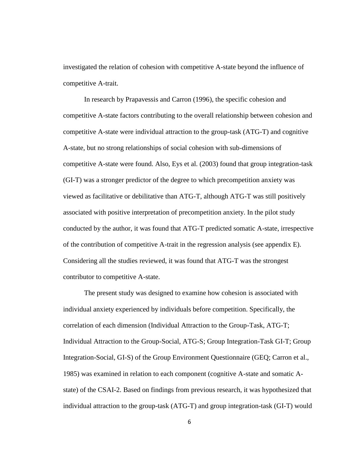investigated the relation of cohesion with competitive A-state beyond the influence of competitive A-trait.

In research by Prapavessis and Carron (1996), the specific cohesion and competitive A-state factors contributing to the overall relationship between cohesion and competitive A-state were individual attraction to the group-task (ATG-T) and cognitive A-state, but no strong relationships of social cohesion with sub-dimensions of competitive A-state were found. Also, Eys et al. (2003) found that group integration-task (GI-T) was a stronger predictor of the degree to which precompetition anxiety was viewed as facilitative or debilitative than ATG-T, although ATG-T was still positively associated with positive interpretation of precompetition anxiety. In the pilot study conducted by the author, it was found that ATG-T predicted somatic A-state, irrespective of the contribution of competitive A-trait in the regression analysis (see appendix E). Considering all the studies reviewed, it was found that ATG-T was the strongest contributor to competitive A-state.

The present study was designed to examine how cohesion is associated with individual anxiety experienced by individuals before competition. Specifically, the correlation of each dimension (Individual Attraction to the Group-Task, ATG-T; Individual Attraction to the Group-Social, ATG-S; Group Integration-Task GI-T; Group Integration-Social, GI-S) of the Group Environment Questionnaire (GEQ; Carron et al., 1985) was examined in relation to each component (cognitive A-state and somatic A state) of the CSAI-2. Based on findings from previous research, it was hypothesized that individual attraction to the group-task (ATG-T) and group integration-task (GI-T) would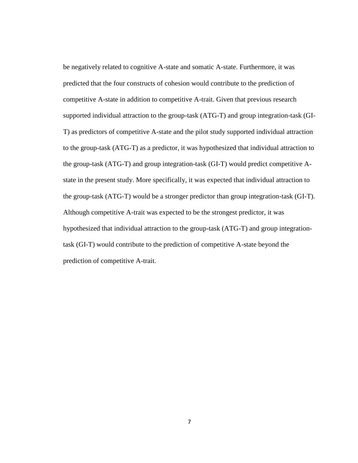be negatively related to cognitive A-state and somatic A-state. Furthermore, it was predicted that the four constructs of cohesion would contribute to the prediction of competitive A-state in addition to competitive A-trait. Given that previous research supported individual attraction to the group-task (ATG-T) and group integration-task (GI- T) as predictors of competitive A-state and the pilot study supported individual attraction to the group-task (ATG-T) as a predictor, it was hypothesized that individual attraction to the group-task (ATG-T) and group integration-task (GI-T) would predict competitive A state in the present study. More specifically, it was expected that individual attraction to the group-task (ATG-T) would be a stronger predictor than group integration-task (GI-T). Although competitive A-trait was expected to be the strongest predictor, it was hypothesized that individual attraction to the group-task (ATG-T) and group integrationtask (GI-T) would contribute to the prediction of competitive A-state beyond the prediction of competitive A-trait.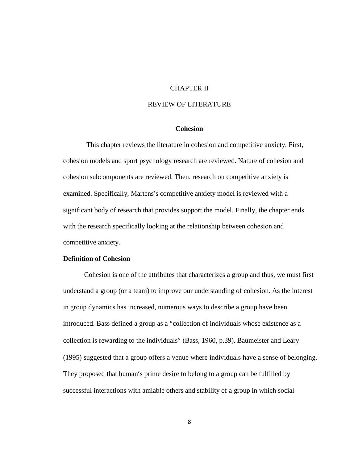# CHAPTER II

# REVIEW OF LITERATURE

# **Cohesion**

This chapter reviews the literature in cohesion and competitive anxiety. First, cohesion models and sport psychology research are reviewed. Nature of cohesion and cohesion subcomponents are reviewed. Then, research on competitive anxiety is examined. Specifically, Martens's competitive anxiety model is reviewed with a significant body of research that provides support the model. Finally, the chapter ends with the research specifically looking at the relationship between cohesion and competitive anxiety.

# **Definition of Cohesion**

Cohesion is one of the attributes that characterizes a group and thus, we must first understand a group (or a team) to improve our understanding of cohesion. As the interest in group dynamics has increased, numerous ways to describe a group have been introduced. Bass defined a group as a "collection of individuals whose existence as a collection is rewarding to the individuals" (Bass, 1960, p.39). Baumeister and Leary (1995) suggested that a group offers a venue where individuals have a sense of belonging. They proposed that human's prime desire to belong to a group can be fulfilled by successful interactions with amiable others and stability of a group in which social

8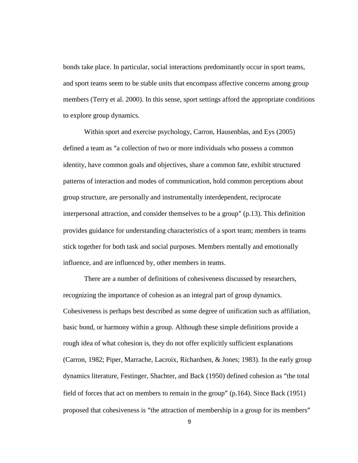bonds take place. In particular, social interactions predominantly occur in sport teams, and sport teams seem to be stable units that encompass affective concerns among group members (Terry et al. 2000). In this sense, sport settings afford the appropriate conditions to explore group dynamics.

Within sport and exercise psychology, Carron, Hausenblas, and Eys (2005) defined a team as "a collection of two or more individuals who possess a common identity, have common goals and objectives, share a common fate, exhibit structured patterns of interaction and modes of communication, hold common perceptions about group structure, are personally and instrumentally interdependent, reciprocate interpersonal attraction, and consider themselves to be a group" (p.13). This definition provides guidance for understanding characteristics of a sport team; members in teams stick together for both task and social purposes. Members mentally and emotionally influence, and are influenced by, other members in teams.

There are a number of definitions of cohesiveness discussed by researchers, recognizing the importance of cohesion as an integral part of group dynamics. Cohesiveness is perhaps best described as some degree of unification such as affiliation, basic bond, or harmony within a group. Although these simple definitions provide a rough idea of what cohesion is, they do not offer explicitly sufficient explanations (Carron, 1982; Piper, Marrache, Lacroix, Richardsen, & Jones; 1983). In the early group dynamics literature, Festinger, Shachter, and Back (1950) defined cohesion as "the total field of forces that act on members to remain in the group" (p.164). Since Back (1951) proposed that cohesiveness is "the attraction of membership in a group for its members"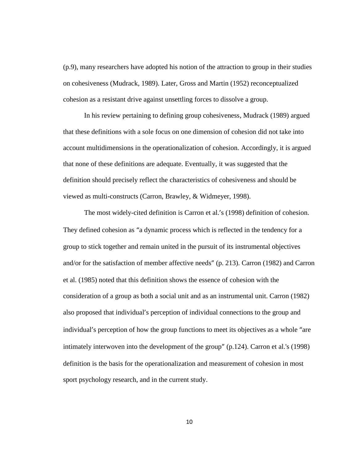(p.9), many researchers have adopted his notion of the attraction to group in their studies on cohesiveness (Mudrack, 1989). Later, Gross and Martin (1952) reconceptualized cohesion as a resistant drive against unsettling forces to dissolve a group.

In his review pertaining to defining group cohesiveness, Mudrack (1989) argued that these definitions with a sole focus on one dimension of cohesion did not take into account multidimensions in the operationalization of cohesion. Accordingly, it is argued that none of these definitions are adequate. Eventually, it was suggested that the definition should precisely reflect the characteristics of cohesiveness and should be viewed as multi-constructs (Carron, Brawley, & Widmeyer, 1998).

The most widely-cited definition is Carron et al.'s (1998) definition of cohesion. They defined cohesion as "a dynamic process which is reflected in the tendency for a group to stick together and remain united in the pursuit of its instrumental objectives and/or for the satisfaction of member affective needs" (p. 213). Carron (1982) and Carron et al. (1985) noted that this definition shows the essence of cohesion with the consideration of a group as both a social unit and as an instrumental unit. Carron (1982) also proposed that individual's perception of individual connections to the group and individual's perception of how the group functions to meet its objectives as a whole "are intimately interwoven into the development of the group" (p.124). Carron et al.'s (1998) definition is the basis for the operationalization and measurement of cohesion in most sport psychology research, and in the current study.

10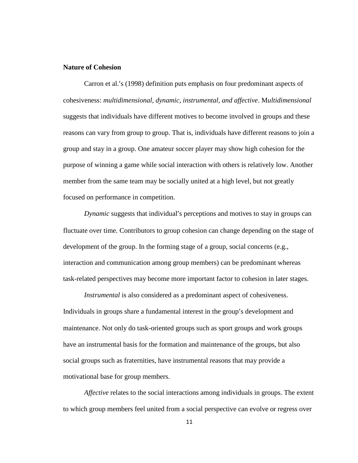## **Nature of Cohesion**

Carron et al.'s (1998) definition puts emphasis on four predominant aspects of cohesiveness: *multidimensional, dynamic, instrumental, and affective*. M*ultidimensional* suggests that individuals have different motives to become involved in groups and these reasons can vary from group to group. That is, individuals have different reasons to join a group and stay in a group. One amateur soccer player may show high cohesion for the purpose of winning a game while social interaction with others is relatively low. Another member from the same team may be socially united at a high level, but not greatly focused on performance in competition.

*Dynamic* suggests that individual's perceptions and motives to stay in groups can fluctuate over time. Contributors to group cohesion can change depending on the stage of development of the group. In the forming stage of a group, social concerns (e.g., interaction and communication among group members) can be predominant whereas task-related perspectives may become more important factor to cohesion in later stages.

*Instrumental* is also considered as a predominant aspect of cohesiveness. Individuals in groups share a fundamental interest in the group's development and maintenance. Not only do task-oriented groups such as sport groups and work groups have an instrumental basis for the formation and maintenance of the groups, but also social groups such as fraternities, have instrumental reasons that may provide a motivational base for group members.

*Affective* relates to the social interactions among individuals in groups. The extent to which group members feel united from a social perspective can evolve or regress over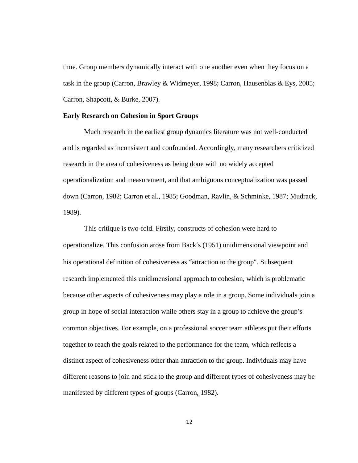time. Group members dynamically interact with one another even when they focus on a task in the group (Carron, Brawley & Widmeyer, 1998; Carron, Hausenblas & Eys, 2005; Carron, Shapcott, & Burke, 2007).

## **Early Research on Cohesion in Sport Groups**

Much research in the earliest group dynamics literature was not well-conducted and is regarded as inconsistent and confounded. Accordingly, many researchers criticized research in the area of cohesiveness as being done with no widely accepted operationalization and measurement, and that ambiguous conceptualization was passed down (Carron, 1982; Carron et al., 1985; Goodman, Ravlin, & Schminke, 1987; Mudrack, 1989).

This critique is two-fold. Firstly, constructs of cohesion were hard to operationalize. This confusion arose from Back's (1951) unidimensional viewpoint and his operational definition of cohesiveness as "attraction to the group". Subsequent research implemented this unidimensional approach to cohesion, which is problematic because other aspects of cohesiveness may play a role in a group. Some individuals join a group in hope of social interaction while others stay in a group to achieve the group's common objectives. For example, on a professional soccer team athletes put their efforts together to reach the goals related to the performance for the team, which reflects a distinct aspect of cohesiveness other than attraction to the group. Individuals may have different reasons to join and stick to the group and different types of cohesiveness may be manifested by different types of groups (Carron, 1982).

12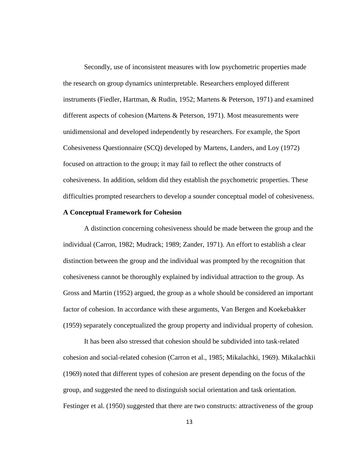Secondly, use of inconsistent measures with low psychometric properties made the research on group dynamics uninterpretable. Researchers employed different instruments (Fiedler, Hartman, & Rudin, 1952; Martens & Peterson, 1971) and examined different aspects of cohesion (Martens & Peterson, 1971). Most measurements were unidimensional and developed independently by researchers. For example, the Sport Cohesiveness Questionnaire (SCQ) developed by Martens, Landers, and Loy (1972) focused on attraction to the group; it may fail to reflect the other constructs of cohesiveness. In addition, seldom did they establish the psychometric properties. These difficulties prompted researchers to develop a sounder conceptual model of cohesiveness.

## **A Conceptual Framework for Cohesion**

A distinction concerning cohesiveness should be made between the group and the individual (Carron, 1982; Mudrack; 1989; Zander, 1971). An effort to establish a clear distinction between the group and the individual was prompted by the recognition that cohesiveness cannot be thoroughly explained by individual attraction to the group. As Gross and Martin (1952) argued, the group as a whole should be considered an important factor of cohesion. In accordance with these arguments, Van Bergen and Koekebakker (1959) separately conceptualized the group property and individual property of cohesion.

It has been also stressed that cohesion should be subdivided into task-related cohesion and social-related cohesion (Carron et al., 1985; Mikalachki, 1969). Mikalachkii (1969) noted that different types of cohesion are present depending on the focus of the group, and suggested the need to distinguish social orientation and task orientation. Festinger et al. (1950) suggested that there are two constructs: attractiveness of the group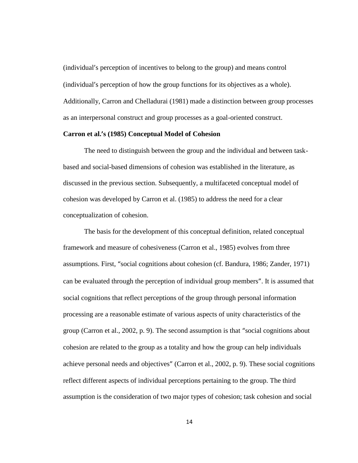(individual's perception of incentives to belong to the group) and means control (individual's perception of how the group functions for its objectives as a whole). Additionally, Carron and Chelladurai (1981) made a distinction between group processes as an interpersonal construct and group processes as a goal-oriented construct.

#### **Carron et al.'s (1985) Conceptual Model of Cohesion**

The need to distinguish between the group and the individual and between task based and social-based dimensions of cohesion was established in the literature, as discussed in the previous section. Subsequently, a multifaceted conceptual model of cohesion was developed by Carron et al. (1985) to address the need for a clear conceptualization of cohesion.

The basis for the development of this conceptual definition, related conceptual framework and measure of cohesiveness (Carron et al., 1985) evolves from three assumptions. First, "social cognitions about cohesion (cf. Bandura, 1986; Zander, 1971) can be evaluated through the perception of individual group members". It is assumed that social cognitions that reflect perceptions of the group through personal information processing are a reasonable estimate of various aspects of unity characteristics of the group (Carron et al., 2002, p. 9). The second assumption is that "social cognitions about cohesion are related to the group as a totality and how the group can help individuals achieve personal needs and objectives" (Carron et al., 2002, p. 9). These social cognitions reflect different aspects of individual perceptions pertaining to the group. The third assumption is the consideration of two major types of cohesion; task cohesion and social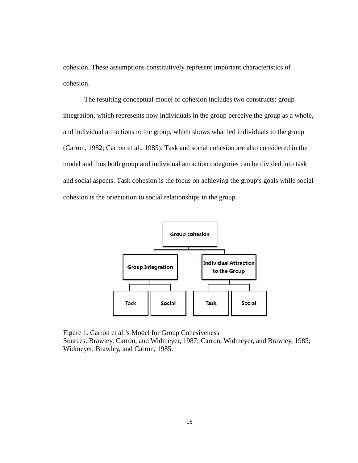cohesion. These assumptions constitutively represent important characteristics of cohesion.

The resulting conceptual model of cohesion includes two constructs: group integration, which represents how individuals in the group perceive the group as a whole, The resulting conceptual model of cohesion includes two constructs: group<br>integration, which represents how individuals in the group perceive the group as a whole,<br>and individual attractions to the group, which shows what (Carron, 1982; Carron et al., 1985). Task and social cohesion are also considered in the model and thus both group and individual attraction categories can be divided into task and social aspects. Task cohesion is the focus on achieving the group's goals while social cohesion is the orientation to social relationships in the group.



Figure 1. Carron et al.'s Model for Group Cohesiveness Sources: Brawley, Carron, and Widmeyer, 1987; Carron, Widmeyer, and Brawley, 1985; Widmeyer, Brawley, and Carron, 1985.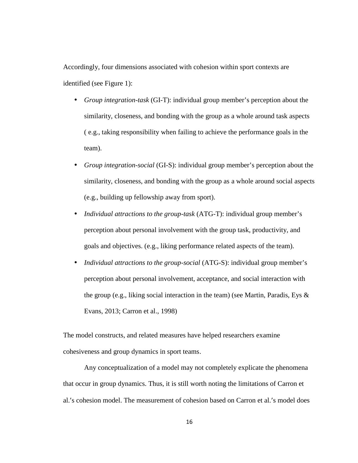Accordingly, four dimensions associated with cohesion within sport contexts are identified (see Figure 1):

- *Group integration-task* (GI-T): individual group member's perception about the similarity, closeness, and bonding with the group as a whole around task aspects ( e.g., taking responsibility when failing to achieve the performance goals in the team).
- *Group integration-social* (GI-S): individual group member's perception about the similarity, closeness, and bonding with the group as a whole around social aspects (e.g., building up fellowship away from sport).
- *Individual attractions to the group-task* (ATG-T): individual group member's perception about personal involvement with the group task, productivity, and goals and objectives. (e.g., liking performance related aspects of the team).
- *Individual attractions to the group-social* (ATG-S): individual group member's perception about personal involvement, acceptance, and social interaction with the group (e.g., liking social interaction in the team) (see Martin, Paradis, Eys  $\&$ Evans, 2013; Carron et al., 1998)

The model constructs, and related measures have helped researchers examine cohesiveness and group dynamics in sport teams.

Any conceptualization of a model may not completely explicate the phenomena that occur in group dynamics. Thus, it is still worth noting the limitations of Carron et al.'s cohesion model. The measurement of cohesion based on Carron et al.'s model does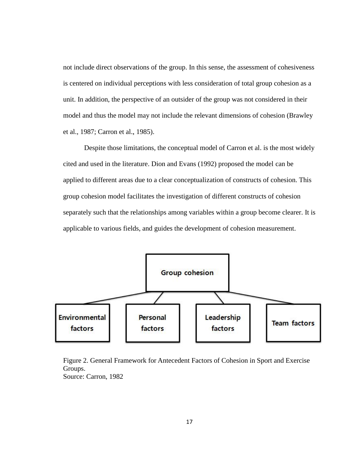not include direct observations of the group. In this sense, the assessment of cohesiveness<br>is centered on individual perceptions with less consideration of total group cohesion as a<br>unit. In addition, the perspective of a is centered on individual perceptions with less consideration of total group cohesion as a unit. In addition, the perspective of an outsider of the group was not considered in their model and thus the model may not include the relevant dimensions of cohesion (Brawley model and thus the model may not in<br>et al., 1987; Carron et al., 1985).

Despite those limitations, the conceptual model of Carron et al. is the most widely cited and used in the literature. Dion and Evans (1992) proposed the model can be applied to different areas due to a clear conceptualization of constructs of cohesion. This group cohesion model facilitates the investigation of different constructs of cohesion separately such that the relationships among variables within a group become clearer. It is applicable to various fields, and guides the development of cohesion measurement. Despite those limitations, the conceptual model of Carron et al. is the most widely<br>cited and used in the literature. Dion and Evans (1992) proposed the model can be<br>applied to different areas due to a clear conceptualizat



Figure 2. General Framework for Antecedent Factors of Cohesion in Sport and Exercise Groups. Source: Carron, 1982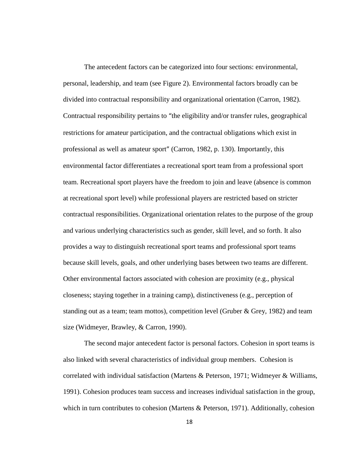The antecedent factors can be categorized into four sections: environmental, personal, leadership, and team (see Figure 2). Environmental factors broadly can be divided into contractual responsibility and organizational orientation (Carron, 1982). Contractual responsibility pertains to "the eligibility and/or transfer rules, geographical restrictions for amateur participation, and the contractual obligations which exist in professional as well as amateur sport" (Carron, 1982, p. 130). Importantly, this environmental factor differentiates a recreational sport team from a professional sport team. Recreational sport players have the freedom to join and leave (absence is common at recreational sport level) while professional players are restricted based on stricter contractual responsibilities. Organizational orientation relates to the purpose of the group and various underlying characteristics such as gender, skill level, and so forth. It also provides a way to distinguish recreational sport teams and professional sport teams because skill levels, goals, and other underlying bases between two teams are different. Other environmental factors associated with cohesion are proximity (e.g., physical closeness; staying together in a training camp), distinctiveness (e.g., perception of standing out as a team; team mottos), competition level (Gruber & Grey, 1982) and team size (Widmeyer, Brawley, & Carron, 1990).

The second major antecedent factor is personal factors. Cohesion in sport teams is also linked with several characteristics of individual group members. Cohesion is correlated with individual satisfaction (Martens & Peterson, 1971; Widmeyer & Williams, 1991). Cohesion produces team success and increases individual satisfaction in the group, which in turn contributes to cohesion (Martens & Peterson, 1971). Additionally, cohesion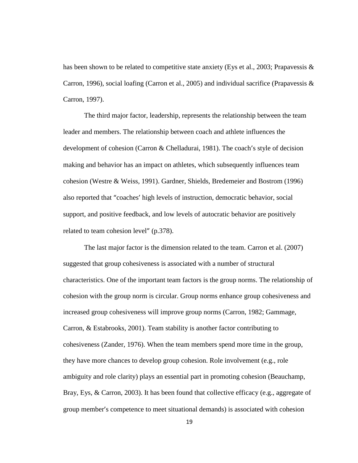has been shown to be related to competitive state anxiety (Eys et al., 2003; Prapavessis & Carron, 1996), social loafing (Carron et al., 2005) and individual sacrifice (Prapavessis & Carron, 1997).

The third major factor, leadership, represents the relationship between the team leader and members. The relationship between coach and athlete influences the development of cohesion (Carron & Chelladurai, 1981). The coach's style of decision making and behavior has an impact on athletes, which subsequently influences team cohesion (Westre & Weiss, 1991). Gardner, Shields, Bredemeier and Bostrom (1996) also reported that "coaches' high levels of instruction, democratic behavior, social support, and positive feedback, and low levels of autocratic behavior are positively related to team cohesion level" (p.378).

The last major factor is the dimension related to the team. Carron et al. (2007) suggested that group cohesiveness is associated with a number of structural characteristics. One of the important team factors is the group norms. The relationship of cohesion with the group norm is circular. Group norms enhance group cohesiveness and increased group cohesiveness will improve group norms (Carron, 1982; Gammage, Carron, & Estabrooks, 2001). Team stability is another factor contributing to cohesiveness (Zander, 1976). When the team members spend more time in the group, they have more chances to develop group cohesion. Role involvement (e.g., role ambiguity and role clarity) plays an essential part in promoting cohesion (Beauchamp, Bray, Eys, & Carron, 2003). It has been found that collective efficacy (e.g., aggregate of group member's competence to meet situational demands) is associated with cohesion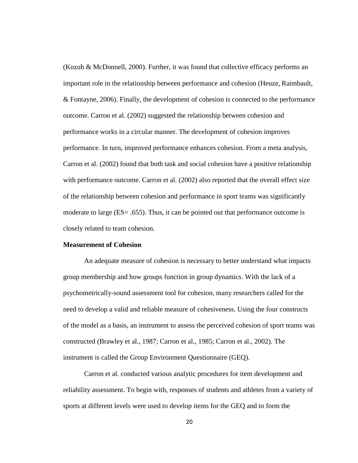(Kozub & McDonnell, 2000). Further, it was found that collective efficacy performs an important role in the relationship between performance and cohesion (Heuze, Raimbault, & Fontayne, 2006). Finally, the development of cohesion is connected to the performance outcome. Carron et al. (2002) suggested the relationship between cohesion and performance works in a circular manner. The development of cohesion improves performance. In turn, improved performance enhances cohesion. From a meta analysis, Carron et al. (2002) found that both task and social cohesion have a positive relationship with performance outcome. Carron et al.  $(2002)$  also reported that the overall effect size of the relationship between cohesion and performance in sport teams was significantly moderate to large (ES= .655). Thus, it can be pointed out that performance outcome is closely related to team cohesion.

#### **Measurement of Cohesion**

An adequate measure of cohesion is necessary to better understand what impacts group membership and how groups function in group dynamics. With the lack of a psychometrically-sound assessment tool for cohesion, many researchers called for the need to develop a valid and reliable measure of cohesiveness. Using the four constructs of the model as a basis, an instrument to assess the perceived cohesion of sport teams was constructed (Brawley et al., 1987; Carron et al., 1985; Carron et al., 2002). The instrument is called the Group Environment Questionnaire (GEQ).

Carron et al. conducted various analytic procedures for item development and reliability assessment. To begin with, responses of students and athletes from a variety of sports at different levels were used to develop items for the GEQ and to form the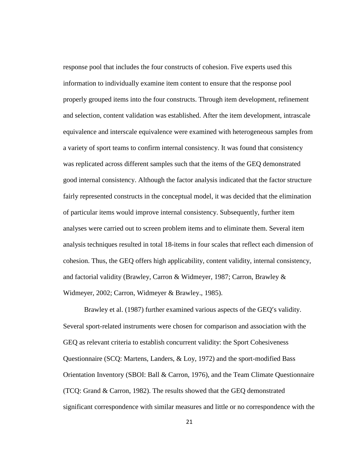response pool that includes the four constructs of cohesion. Five experts used this information to individually examine item content to ensure that the response pool properly grouped items into the four constructs. Through item development, refinement and selection, content validation was established. After the item development, intrascale equivalence and interscale equivalence were examined with heterogeneous samples from a variety of sport teams to confirm internal consistency. It was found that consistency was replicated across different samples such that the items of the GEQ demonstrated good internal consistency. Although the factor analysis indicated that the factor structure fairly represented constructs in the conceptual model, it was decided that the elimination of particular items would improve internal consistency. Subsequently, further item analyses were carried out to screen problem items and to eliminate them. Several item analysis techniques resulted in total 18-items in four scales that reflect each dimension of cohesion. Thus, the GEQ offers high applicability, content validity, internal consistency, and factorial validity (Brawley, Carron & Widmeyer, 1987; Carron, Brawley & Widmeyer, 2002; Carron, Widmeyer & Brawley., 1985).

Brawley et al. (1987) further examined various aspects of the GEQ's validity. Several sport-related instruments were chosen for comparison and association with the GEQ as relevant criteria to establish concurrent validity: the Sport Cohesiveness Questionnaire (SCQ: Martens, Landers, & Loy, 1972) and the sport-modified Bass Orientation Inventory (SBOI: Ball & Carron, 1976), and the Team Climate Questionnaire (TCQ: Grand & Carron, 1982). The results showed that the GEQ demonstrated significant correspondence with similar measures and little or no correspondence with the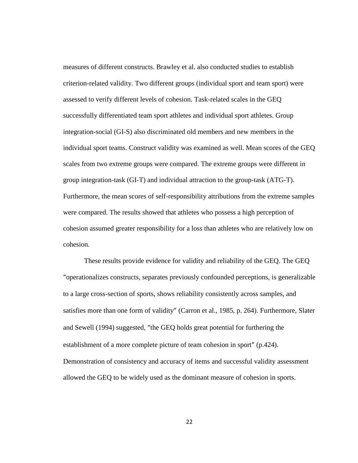measures of different constructs. Brawley et al. also conducted studies to establish criterion-related validity. Two different groups (individual sport and team sport) were assessed to verify different levels of cohesion. Task-related scales in the GEQ successfully differentiated team sport athletes and individual sport athletes. Group integration-social (GI-S) also discriminated old members and new members in the individual sport teams. Construct validity was examined as well. Mean scores of the GEQ scales from two extreme groups were compared. The extreme groups were different in group integration-task (GI-T) and individual attraction to the group-task (ATG-T). Furthermore, the mean scores of self-responsibility attributions from the extreme samples were compared. The results showed that athletes who possess a high perception of cohesion assumed greater responsibility for a loss than athletes who are relatively low on cohesion.

These results provide evidence for validity and reliability of the GEQ. The GEQ "operationalizes constructs, separates previously confounded perceptions, is generalizable to a large cross-section of sports, shows reliability consistently across samples, and satisfies more than one form of validity" (Carron et al., 1985, p. 264). Furthermore, Slater and Sewell (1994) suggested, "the GEQ holds great potential for furthering the establishment of a more complete picture of team cohesion in sport" (p.424). Demonstration of consistency and accuracy of items and successful validity assessment allowed the GEQ to be widely used as the dominant measure of cohesion in sports.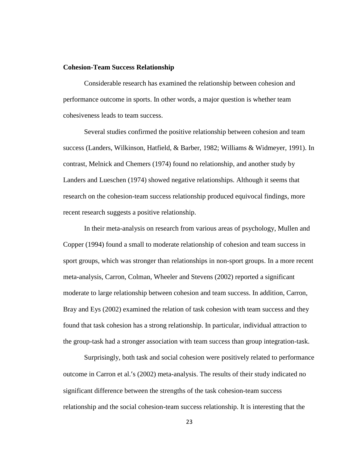### **Cohesion-Team Success Relationship**

Considerable research has examined the relationship between cohesion and performance outcome in sports. In other words, a major question is whether team cohesiveness leads to team success.

Several studies confirmed the positive relationship between cohesion and team success (Landers, Wilkinson, Hatfield, & Barber, 1982; Williams & Widmeyer, 1991). In contrast, Melnick and Chemers (1974) found no relationship, and another study by Landers and Lueschen (1974) showed negative relationships. Although it seems that research on the cohesion-team success relationship produced equivocal findings, more recent research suggests a positive relationship.

In their meta-analysis on research from various areas of psychology, Mullen and Copper (1994) found a small to moderate relationship of cohesion and team success in sport groups, which was stronger than relationships in non-sport groups. In a more recent meta-analysis, Carron, Colman, Wheeler and Stevens (2002) reported a significant moderate to large relationship between cohesion and team success. In addition, Carron, Bray and Eys (2002) examined the relation of task cohesion with team success and they found that task cohesion has a strong relationship. In particular, individual attraction to the group-task had a stronger association with team success than group integration-task.

Surprisingly, both task and social cohesion were positively related to performance outcome in Carron et al.'s (2002) meta-analysis. The results of their study indicated no significant difference between the strengths of the task cohesion-team success relationship and the social cohesion-team success relationship. It is interesting that the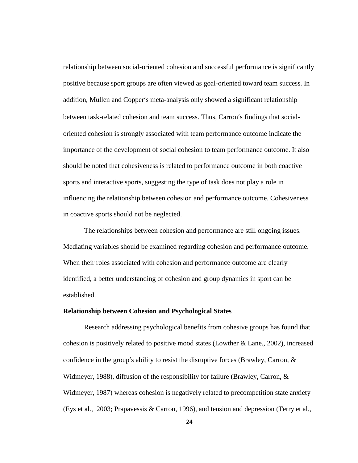relationship between social-oriented cohesion and successful performance is significantly positive because sport groups are often viewed as goal-oriented toward team success. In addition, Mullen and Copper's meta-analysis only showed a significant relationship between task-related cohesion and team success. Thus, Carron's findings that social oriented cohesion is strongly associated with team performance outcome indicate the importance of the development of social cohesion to team performance outcome. It also should be noted that cohesiveness is related to performance outcome in both coactive sports and interactive sports, suggesting the type of task does not play a role in influencing the relationship between cohesion and performance outcome. Cohesiveness in coactive sports should not be neglected.

The relationships between cohesion and performance are still ongoing issues. Mediating variables should be examined regarding cohesion and performance outcome. When their roles associated with cohesion and performance outcome are clearly identified, a better understanding of cohesion and group dynamics in sport can be established.

#### **Relationship between Cohesion and Psychological States**

Research addressing psychological benefits from cohesive groups has found that cohesion is positively related to positive mood states (Lowther & Lane., 2002), increased confidence in the group's ability to resist the disruptive forces (Brawley, Carron, & Widmeyer, 1988), diffusion of the responsibility for failure (Brawley, Carron,  $\&$ Widmeyer, 1987) whereas cohesion is negatively related to precompetition state anxiety (Eys et al., 2003; Prapavessis & Carron, 1996), and tension and depression (Terry et al.,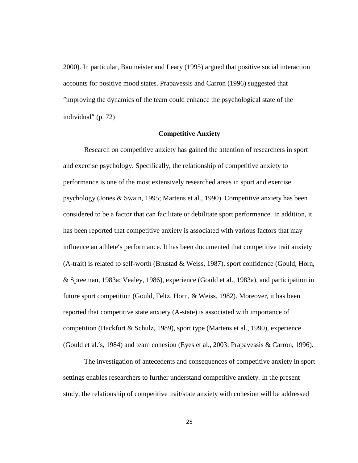2000). In particular, Baumeister and Leary (1995) argued that positive social interaction accounts for positive mood states. Prapavessis and Carron (1996) suggested that "improving the dynamics of the team could enhance the psychological state of the individual" (p. 72)

#### **Competitive Anxiety**

Research on competitive anxiety has gained the attention of researchers in sport and exercise psychology. Specifically, the relationship of competitive anxiety to performance is one of the most extensively researched areas in sport and exercise psychology (Jones & Swain, 1995; Martens et al., 1990). Competitive anxiety has been considered to be a factor that can facilitate or debilitate sport performance. In addition, it has been reported that competitive anxiety is associated with various factors that may influence an athlete's performance. It has been documented that competitive trait anxiety  $(A$ -trait) is related to self-worth (Brustad & Weiss, 1987), sport confidence (Gould, Horn, & Spreeman, 1983a; Vealey, 1986), experience (Gould et al., 1983a), and participation in future sport competition (Gould, Feltz, Horn, & Weiss, 1982). Moreover, it has been reported that competitive state anxiety (A-state) is associated with importance of competition (Hackfort & Schulz, 1989), sport type (Martens et al., 1990), experience (Gould et al.'s, 1984) and team cohesion (Eyes et al., 2003; Prapavessis & Carron, 1996).

The investigation of antecedents and consequences of competitive anxiety in sport settings enables researchers to further understand competitive anxiety. In the present study, the relationship of competitive trait/state anxiety with cohesion will be addressed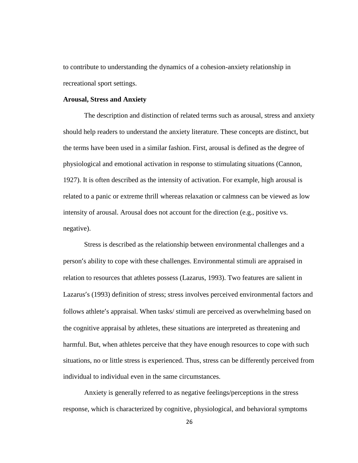to contribute to understanding the dynamics of a cohesion-anxiety relationship in recreational sport settings.

### **Arousal, Stress and Anxiety**

The description and distinction of related terms such as arousal, stress and anxiety should help readers to understand the anxiety literature. These concepts are distinct, but the terms have been used in a similar fashion. First, arousal is defined as the degree of physiological and emotional activation in response to stimulating situations (Cannon, 1927). It is often described as the intensity of activation. For example, high arousal is related to a panic or extreme thrill whereas relaxation or calmness can be viewed as low intensity of arousal. Arousal does not account for the direction (e.g., positive vs. negative).

Stress is described as the relationship between environmental challenges and a person's ability to cope with these challenges. Environmental stimuli are appraised in relation to resources that athletes possess (Lazarus, 1993). Two features are salient in Lazarus's (1993) definition of stress; stress involves perceived environmental factors and follows athlete's appraisal. When tasks/ stimuli are perceived as overwhelming based on the cognitive appraisal by athletes, these situations are interpreted as threatening and harmful. But, when athletes perceive that they have enough resources to cope with such situations, no or little stress is experienced. Thus, stress can be differently perceived from individual to individual even in the same circumstances.

Anxiety is generally referred to as negative feelings/perceptions in the stress response, which is characterized by cognitive, physiological, and behavioral symptoms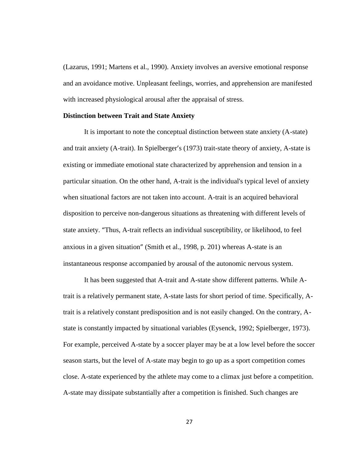(Lazarus, 1991; Martens et al., 1990). Anxiety involves an aversive emotional response and an avoidance motive. Unpleasant feelings, worries, and apprehension are manifested with increased physiological arousal after the appraisal of stress.

### **Distinction between Trait and State Anxiety**

It is important to note the conceptual distinction between state anxiety (A-state) and trait anxiety (A-trait). In Spielberger's (1973) trait-state theory of anxiety, A-state is existing or immediate emotional state characterized by apprehension and tension in a particular situation. On the other hand, A-trait is the individual's typical level of anxiety when situational factors are not taken into account. A-trait is an acquired behavioral disposition to perceive non-dangerous situations as threatening with different levels of state anxiety. "Thus, A-trait reflects an individual susceptibility, or likelihood, to feel anxious in a given situation" (Smith et al., 1998, p. 201) whereas A-state is an instantaneous response accompanied by arousal of the autonomic nervous system.

It has been suggested that A-trait and A-state show different patterns. While Atrait is a relatively permanent state, A-state lasts for short period of time. Specifically, Atrait is a relatively constant predisposition and is not easily changed. On the contrary, A state is constantly impacted by situational variables (Eysenck, 1992; Spielberger, 1973). For example, perceived A-state by a soccer player may be at a low level before the soccer season starts, but the level of A-state may begin to go up as a sport competition comes close. A-state experienced by the athlete may come to a climax just before a competition. A-state may dissipate substantially after a competition is finished. Such changes are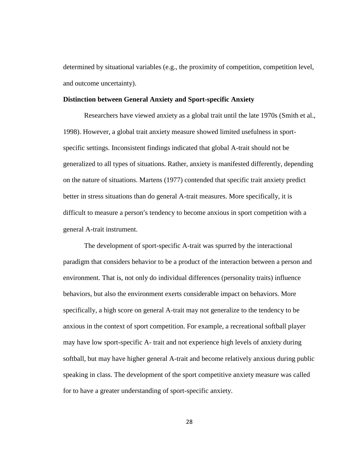determined by situational variables (e.g., the proximity of competition, competition level, and outcome uncertainty).

#### **Distinction between General Anxiety and Sport-specific Anxiety**

Researchers have viewed anxiety as a global trait until the late 1970s (Smith et al., 1998). However, a global trait anxiety measure showed limited usefulness in sport specific settings. Inconsistent findings indicated that global A-trait should not be generalized to all types of situations. Rather, anxiety is manifested differently, depending on the nature of situations. Martens (1977) contended that specific trait anxiety predict better in stress situations than do general A-trait measures. More specifically, it is difficult to measure a person's tendency to become anxious in sport competition with a general A-trait instrument.

The development of sport-specific A-trait was spurred by the interactional paradigm that considers behavior to be a product of the interaction between a person and environment. That is, not only do individual differences (personality traits) influence behaviors, but also the environment exerts considerable impact on behaviors. More specifically, a high score on general A-trait may not generalize to the tendency to be anxious in the context of sport competition. For example, a recreational softball player may have low sport-specific A- trait and not experience high levels of anxiety during softball, but may have higher general A-trait and become relatively anxious during public speaking in class. The development of the sport competitive anxiety measure was called for to have a greater understanding of sport-specific anxiety.

28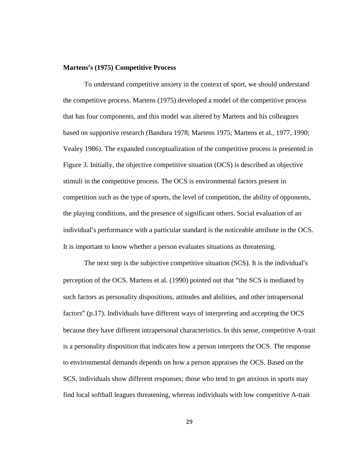#### **Martens's (1975) Competitive Process**

To understand competitive anxiety in the context of sport, we should understand the competitive process. Martens (1975) developed a model of the competitive process that has four components, and this model was altered by Martens and his colleagues based on supportive research (Bandura 1978; Martens 1975; Martens et al., 1977, 1990; Vealey 1986). The expanded conceptualization of the competitive process is presented in Figure 3. Initially, the objective competitive situation (OCS) is described as objective stimuli in the competitive process. The OCS is environmental factors present in competition such as the type of sports, the level of competition, the ability of opponents, the playing conditions, and the presence of significant others. Social evaluation of an individual's performance with a particular standard is the noticeable attribute in the OCS. It is important to know whether a person evaluates situations as threatening.

The next step is the subjective competitive situation (SCS). It is the individual's perception of the OCS. Martens et al. (1990) pointed out that "the SCS is mediated by such factors as personality dispositions, attitudes and abilities, and other intrapersonal factors" (p.17). Individuals have different ways of interpreting and accepting the OCS because they have different intrapersonal characteristics. In this sense, competitive A-trait is a personality disposition that indicates how a person interprets the OCS. The response to environmental demands depends on how a person appraises the OCS. Based on the SCS, individuals show different responses; those who tend to get anxious in sports may find local softball leagues threatening, whereas individuals with low competitive A-trait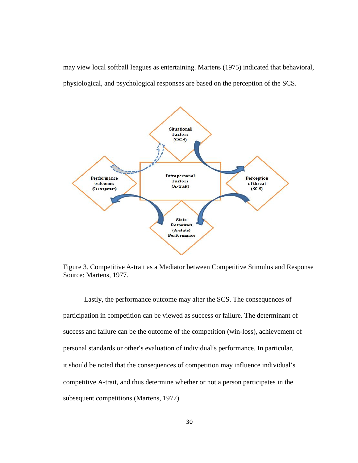may view local softball leagues as entertaining. Martens (1975) indicated that behavioral, physiological, and psychological responses are based on the perception of the SCS.



Figure 3. Competitive A-trait as a Mediator between Competitive Stimulus and Response Source: Martens, 1977.

Lastly, the performance outcome may alter the SCS. The consequences of participation in competition can be viewed as success or failure. The determinant of success and failure can be the outcome of the competition (win-loss), achievement of personal standards or other's evaluation of individual's performance. In particular, it should be noted that the consequences of competition may influence individual's competitive A-trait, and thus determine whether or not a person participates in the subsequent competitions (Martens, 1977). 1977).y, the performance outcome may alter the SCS. The consequences of<br>in competition can be viewed as success or failure. The determinant<br>failure can be the outcome of the competition (win-loss), achievemen<br>ndards or other's e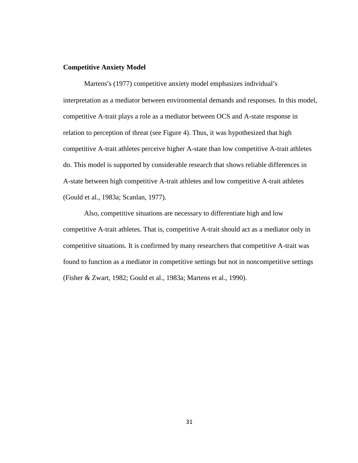#### **Competitive Anxiety Model**

Martens's (1977) competitive anxiety model emphasizes individual's interpretation as a mediator between environmental demands and responses. In this model, competitive A-trait plays a role as a mediator between OCS and A-state response in relation to perception of threat (see Figure 4). Thus, it was hypothesized that high competitive A-trait athletes perceive higher A-state than low competitive A-trait athletes do. This model is supported by considerable research that shows reliable differences in A-state between high competitive A-trait athletes and low competitive A-trait athletes (Gould et al., 1983a; Scanlan, 1977).

Also, competitive situations are necessary to differentiate high and low competitive A-trait athletes. That is, competitive A-trait should act as a mediator only in competitive situations. It is confirmed by many researchers that competitive A-trait was found to function as a mediator in competitive settings but not in noncompetitive settings (Fisher & Zwart, 1982; Gould et al., 1983a; Martens et al., 1990).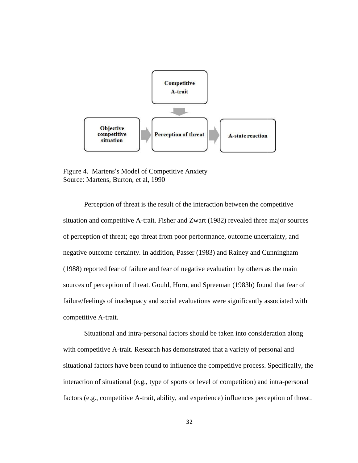

Figure 4. Martens's Model of Competitive Anxiety Source: Martens, Burton, et al, 1990

Perception of threat is the result of the interaction between the competitive situation and competitive A-trait. Fisher and Zwart (1982) revealed three major sources of perception of threat; ego threat from poor performance, outcome uncertainty, and negative outcome certainty. In addition, Passer (1983) and Rainey and Cunningham (1988) reported fear of failure and fear of negative evaluation by others as the main sources of perception of threat. Gould, Horn, and Spreeman (1983b) found that fear of failure/feelings of inadequacy and social evaluations were significantly associated with competitive A-trait. ception of threat is the result of the interaction between the competitive<br>nd competitive A-trait. Fisher and Zwart (1982) revealed three major sources<br>on of threat; ego threat from poor performance, outcome uncertainty, a Perception of threat is the result of the interaction between the competitive<br>situation and competitive A-trait. Fisher and Zwart (1982) revealed three major sources<br>of perception of threat; ego threat from poor performanc

Situational and intra-personal factors should be taken into consideration along with competitive A-trait. Research has demonstrated that a variety of personal and situational factors have been found to influence the competitive process. Specifically, the interaction of situational (e.g., type of sports or level of competition) and intra-personal factors (e.g., competitive A-trait, ability, and experience) influences perception of threat.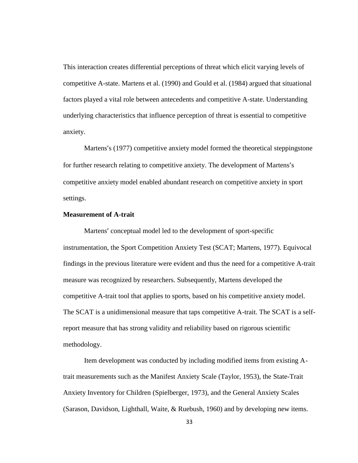This interaction creates differential perceptions of threat which elicit varying levels of competitive A-state. Martens et al. (1990) and Gould et al. (1984) argued that situational factors played a vital role between antecedents and competitive A-state. Understanding underlying characteristics that influence perception of threat is essential to competitive anxiety.

Martens's (1977) competitive anxiety model formed the theoretical steppingstone for further research relating to competitive anxiety. The development of Martens's competitive anxiety model enabled abundant research on competitive anxiety in sport settings.

## **Measurement of A-trait**

Martens' conceptual model led to the development of sport-specific instrumentation, the Sport Competition Anxiety Test (SCAT; Martens, 1977). Equivocal findings in the previous literature were evident and thus the need for a competitive A-trait measure was recognized by researchers. Subsequently, Martens developed the competitive A-trait tool that applies to sports, based on his competitive anxiety model. The SCAT is a unidimensional measure that taps competitive A-trait. The SCAT is a selfreport measure that has strong validity and reliability based on rigorous scientific methodology.

Item development was conducted by including modified items from existing Atrait measurements such as the Manifest Anxiety Scale (Taylor, 1953), the State-Trait Anxiety Inventory for Children (Spielberger, 1973), and the General Anxiety Scales (Sarason, Davidson, Lighthall, Waite, & Ruebush, 1960) and by developing new items.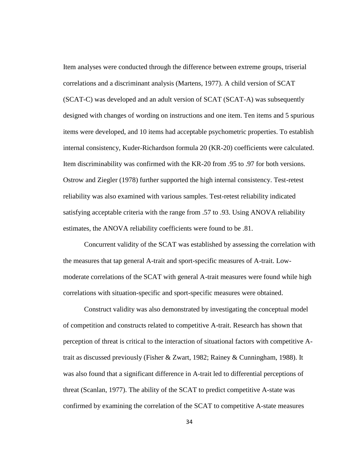Item analyses were conducted through the difference between extreme groups, triserial correlations and a discriminant analysis (Martens, 1977). A child version of SCAT (SCAT-C) was developed and an adult version of SCAT (SCAT-A) was subsequently designed with changes of wording on instructions and one item. Ten items and 5 spurious items were developed, and 10 items had acceptable psychometric properties. To establish internal consistency, Kuder-Richardson formula 20 (KR-20) coefficients were calculated. Item discriminability was confirmed with the KR-20 from .95 to .97 for both versions. Ostrow and Ziegler (1978) further supported the high internal consistency. Test-retest reliability was also examined with various samples. Test-retest reliability indicated satisfying acceptable criteria with the range from .57 to .93. Using ANOVA reliability estimates, the ANOVA reliability coefficients were found to be .81.

Concurrent validity of the SCAT was established by assessing the correlation with the measures that tap general A-trait and sport-specific measures of A-trait. Low moderate correlations of the SCAT with general A-trait measures were found while high correlations with situation-specific and sport-specific measures were obtained.

Construct validity was also demonstrated by investigating the conceptual model of competition and constructs related to competitive A-trait. Research has shown that perception of threat is critical to the interaction of situational factors with competitive Atrait as discussed previously (Fisher & Zwart, 1982; Rainey & Cunningham, 1988). It was also found that a significant difference in A-trait led to differential perceptions of threat (Scanlan, 1977). The ability of the SCAT to predict competitive A-state was confirmed by examining the correlation of the SCAT to competitive A-state measures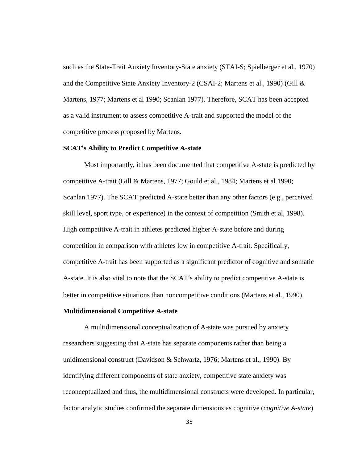such as the State-Trait Anxiety Inventory-State anxiety (STAI-S; Spielberger et al., 1970) and the Competitive State Anxiety Inventory-2 (CSAI-2; Martens et al., 1990) (Gill & Martens, 1977; Martens et al 1990; Scanlan 1977). Therefore, SCAT has been accepted as a valid instrument to assess competitive A-trait and supported the model of the competitive process proposed by Martens.

#### **SCAT's Ability to Predict Competitive A-state**

Most importantly, it has been documented that competitive A-state is predicted by competitive A-trait (Gill & Martens, 1977; Gould et al., 1984; Martens et al 1990; Scanlan 1977). The SCAT predicted A-state better than any other factors (e.g., perceived skill level, sport type, or experience) in the context of competition (Smith et al, 1998). High competitive A-trait in athletes predicted higher A-state before and during competition in comparison with athletes low in competitive A-trait. Specifically, competitive A-trait has been supported as a significant predictor of cognitive and somatic A-state. It is also vital to note that the SCAT's ability to predict competitive A-state is better in competitive situations than noncompetitive conditions (Martens et al., 1990).

#### **Multidimensional Competitive A-state**

A multidimensional conceptualization of A-state was pursued by anxiety researchers suggesting that A-state has separate components rather than being a unidimensional construct (Davidson & Schwartz, 1976; Martens et al., 1990). By identifying different components of state anxiety, competitive state anxiety was reconceptualized and thus, the multidimensional constructs were developed. In particular, factor analytic studies confirmed the separate dimensions as cognitive (*cognitive A-state*)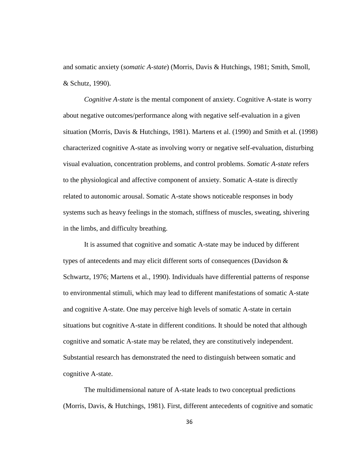and somatic anxiety (*somatic A-state*) (Morris, Davis & Hutchings, 1981; Smith, Smoll, & Schutz, 1990).

*Cognitive A-state* is the mental component of anxiety. Cognitive A-state is worry about negative outcomes/performance along with negative self-evaluation in a given situation (Morris, Davis & Hutchings, 1981). Martens et al. (1990) and Smith et al. (1998) characterized cognitive A-state as involving worry or negative self-evaluation, disturbing visual evaluation, concentration problems, and control problems. *Somatic A-state* refers to the physiological and affective component of anxiety. Somatic A-state is directly related to autonomic arousal. Somatic A-state shows noticeable responses in body systems such as heavy feelings in the stomach, stiffness of muscles, sweating, shivering in the limbs, and difficulty breathing.

It is assumed that cognitive and somatic A-state may be induced by different types of antecedents and may elicit different sorts of consequences (Davidson  $\&$ Schwartz, 1976; Martens et al., 1990). Individuals have differential patterns of response to environmental stimuli, which may lead to different manifestations of somatic A-state and cognitive A-state. One may perceive high levels of somatic A-state in certain situations but cognitive A-state in different conditions. It should be noted that although cognitive and somatic A-state may be related, they are constitutively independent. Substantial research has demonstrated the need to distinguish between somatic and cognitive A-state.

The multidimensional nature of A-state leads to two conceptual predictions (Morris, Davis, & Hutchings, 1981). First, different antecedents of cognitive and somatic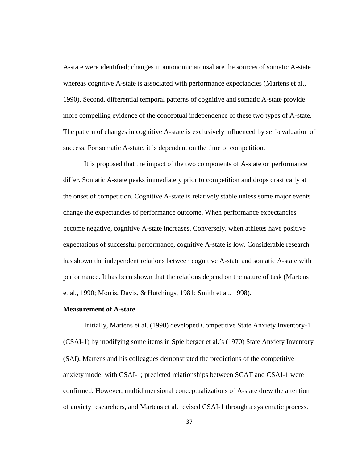A-state were identified; changes in autonomic arousal are the sources of somatic A-state whereas cognitive A-state is associated with performance expectancies (Martens et al., 1990). Second, differential temporal patterns of cognitive and somatic A-state provide more compelling evidence of the conceptual independence of these two types of A-state. The pattern of changes in cognitive A-state is exclusively influenced by self-evaluation of success. For somatic A-state, it is dependent on the time of competition.

It is proposed that the impact of the two components of A-state on performance differ. Somatic A-state peaks immediately prior to competition and drops drastically at the onset of competition. Cognitive A-state is relatively stable unless some major events change the expectancies of performance outcome. When performance expectancies become negative, cognitive A-state increases. Conversely, when athletes have positive expectations of successful performance, cognitive A-state is low. Considerable research has shown the independent relations between cognitive A-state and somatic A-state with performance. It has been shown that the relations depend on the nature of task (Martens et al., 1990; Morris, Davis, & Hutchings, 1981; Smith et al., 1998).

#### **Measurement of A-state**

Initially, Martens et al. (1990) developed Competitive State Anxiety Inventory-1 (CSAI-1) by modifying some items in Spielberger et al.'s (1970) State Anxiety Inventory (SAI). Martens and his colleagues demonstrated the predictions of the competitive anxiety model with CSAI-1; predicted relationships between SCAT and CSAI-1 were confirmed. However, multidimensional conceptualizations of A-state drew the attention of anxiety researchers, and Martens et al. revised CSAI-1 through a systematic process.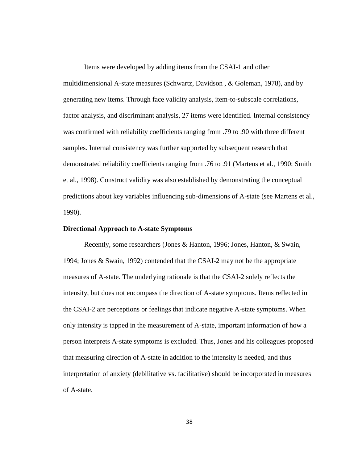Items were developed by adding items from the CSAI-1 and other multidimensional A-state measures (Schwartz, Davidson , & Goleman, 1978), and by generating new items. Through face validity analysis, item-to-subscale correlations, factor analysis, and discriminant analysis, 27 items were identified. Internal consistency was confirmed with reliability coefficients ranging from .79 to .90 with three different samples. Internal consistency was further supported by subsequent research that demonstrated reliability coefficients ranging from .76 to .91 (Martens et al., 1990; Smith et al., 1998). Construct validity was also established by demonstrating the conceptual predictions about key variables influencing sub-dimensions of A-state (see Martens et al., 1990).

#### **Directional Approach to A-state Symptoms**

Recently, some researchers (Jones & Hanton, 1996; Jones, Hanton, & Swain, 1994; Jones & Swain, 1992) contended that the CSAI-2 may not be the appropriate measures of A-state. The underlying rationale is that the CSAI-2 solely reflects the intensity, but does not encompass the direction of A-state symptoms. Items reflected in the CSAI-2 are perceptions or feelings that indicate negative A-state symptoms. When only intensity is tapped in the measurement of A-state, important information of how a person interprets A-state symptoms is excluded. Thus, Jones and his colleagues proposed that measuring direction of A-state in addition to the intensity is needed, and thus interpretation of anxiety (debilitative vs. facilitative) should be incorporated in measures of A-state.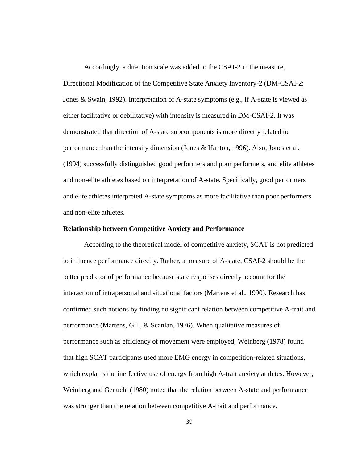Accordingly, a direction scale was added to the CSAI-2 in the measure, Directional Modification of the Competitive State Anxiety Inventory-2 (DM-CSAI-2; Jones & Swain, 1992). Interpretation of A-state symptoms (e.g., if A-state is viewed as either facilitative or debilitative) with intensity is measured in DM-CSAI-2. It was demonstrated that direction of A-state subcomponents is more directly related to performance than the intensity dimension (Jones & Hanton, 1996). Also, Jones et al. (1994) successfully distinguished good performers and poor performers, and elite athletes and non-elite athletes based on interpretation of A-state. Specifically, good performers and elite athletes interpreted A-state symptoms as more facilitative than poor performers and non-elite athletes.

#### **Relationship between Competitive Anxiety and Performance**

According to the theoretical model of competitive anxiety, SCAT is not predicted to influence performance directly. Rather, a measure of A-state, CSAI-2 should be the better predictor of performance because state responses directly account for the interaction of intrapersonal and situational factors (Martens et al., 1990). Research has confirmed such notions by finding no significant relation between competitive A-trait and performance (Martens, Gill, & Scanlan, 1976). When qualitative measures of performance such as efficiency of movement were employed, Weinberg (1978) found that high SCAT participants used more EMG energy in competition-related situations, which explains the ineffective use of energy from high A-trait anxiety athletes. However, Weinberg and Genuchi (1980) noted that the relation between A-state and performance was stronger than the relation between competitive A-trait and performance.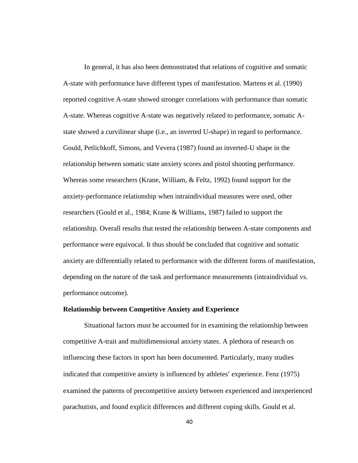In general, it has also been demonstrated that relations of cognitive and somatic A-state with performance have different types of manifestation. Martens et al. (1990) reported cognitive A-state showed stronger correlations with performance than somatic A-state. Whereas cognitive A-state was negatively related to performance, somatic A state showed a curvilinear shape (i.e., an inverted U-shape) in regard to performance. Gould, Petlichkoff, Simons, and Vevera (1987) found an inverted-U shape in the relationship between somatic state anxiety scores and pistol shooting performance. Whereas some researchers (Krane, William, & Feltz, 1992) found support for the anxiety-performance relationship when intraindividual measures were used, other researchers (Gould et al., 1984; Krane & Williams, 1987) failed to support the relationship. Overall results that tested the relationship between A-state components and performance were equivocal. It thus should be concluded that cognitive and somatic anxiety are differentially related to performance with the different forms of manifestation, depending on the nature of the task and performance measurements (intraindividual vs. performance outcome).

### **Relationship between Competitive Anxiety and Experience**

Situational factors must be accounted for in examining the relationship between competitive A-trait and multidimensional anxiety states. A plethora of research on influencing these factors in sport has been documented. Particularly, many studies indicated that competitive anxiety is influenced by athletes' experience. Fenz (1975) examined the patterns of precompetitive anxiety between experienced and inexperienced parachutists, and found explicit differences and different coping skills. Gould et al.

40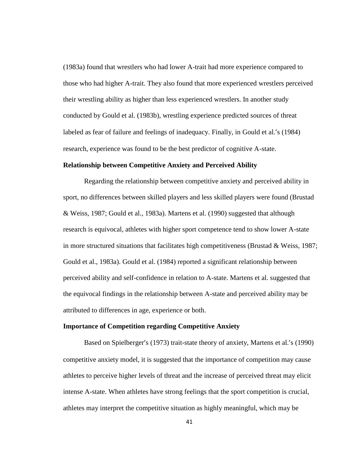(1983a) found that wrestlers who had lower A-trait had more experience compared to those who had higher A-trait. They also found that more experienced wrestlers perceived their wrestling ability as higher than less experienced wrestlers. In another study conducted by Gould et al. (1983b), wrestling experience predicted sources of threat labeled as fear of failure and feelings of inadequacy. Finally, in Gould et al.'s (1984) research, experience was found to be the best predictor of cognitive A-state.

## **Relationship between Competitive Anxiety and Perceived Ability**

Regarding the relationship between competitive anxiety and perceived ability in sport, no differences between skilled players and less skilled players were found (Brustad & Weiss, 1987; Gould et al., 1983a). Martens et al. (1990) suggested that although research is equivocal, athletes with higher sport competence tend to show lower A-state in more structured situations that facilitates high competitiveness (Brustad & Weiss, 1987; Gould et al., 1983a). Gould et al. (1984) reported a significant relationship between perceived ability and self-confidence in relation to A-state. Martens et al. suggested that the equivocal findings in the relationship between A-state and perceived ability may be attributed to differences in age, experience or both.

## **Importance of Competition regarding Competitive Anxiety**

Based on Spielberger's (1973) trait-state theory of anxiety, Martens et al.'s (1990) competitive anxiety model, it is suggested that the importance of competition may cause athletes to perceive higher levels of threat and the increase of perceived threat may elicit intense A-state. When athletes have strong feelings that the sport competition is crucial, athletes may interpret the competitive situation as highly meaningful, which may be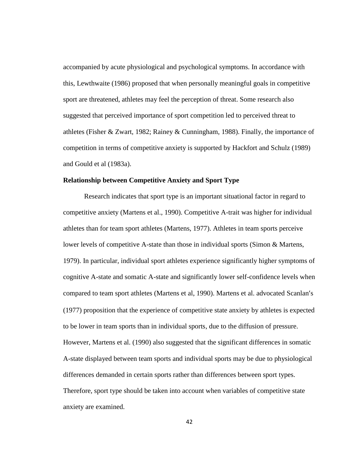accompanied by acute physiological and psychological symptoms. In accordance with this, Lewthwaite (1986) proposed that when personally meaningful goals in competitive sport are threatened, athletes may feel the perception of threat. Some research also suggested that perceived importance of sport competition led to perceived threat to athletes (Fisher & Zwart, 1982; Rainey & Cunningham, 1988). Finally, the importance of competition in terms of competitive anxiety is supported by Hackfort and Schulz (1989) and Gould et al (1983a).

## **Relationship between Competitive Anxiety and Sport Type**

Research indicates that sport type is an important situational factor in regard to competitive anxiety (Martens et al., 1990). Competitive A-trait was higher for individual athletes than for team sport athletes (Martens, 1977). Athletes in team sports perceive lower levels of competitive A-state than those in individual sports (Simon & Martens, 1979). In particular, individual sport athletes experience significantly higher symptoms of cognitive A-state and somatic A-state and significantly lower self-confidence levels when compared to team sport athletes (Martens et al, 1990). Martens et al. advocated Scanlan's (1977) proposition that the experience of competitive state anxiety by athletes is expected to be lower in team sports than in individual sports, due to the diffusion of pressure. However, Martens et al. (1990) also suggested that the significant differences in somatic A-state displayed between team sports and individual sports may be due to physiological differences demanded in certain sports rather than differences between sport types. Therefore, sport type should be taken into account when variables of competitive state anxiety are examined.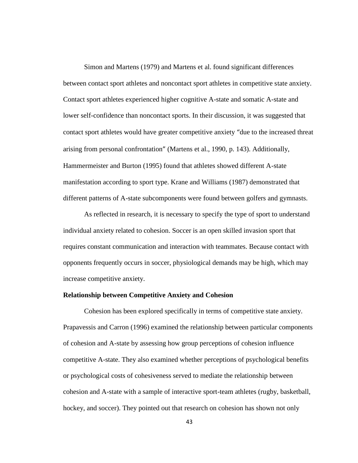Simon and Martens (1979) and Martens et al. found significant differences between contact sport athletes and noncontact sport athletes in competitive state anxiety. Contact sport athletes experienced higher cognitive A-state and somatic A-state and lower self-confidence than noncontact sports. In their discussion, it was suggested that contact sport athletes would have greater competitive anxiety "due to the increased threat arising from personal confrontation" (Martens et al., 1990, p. 143). Additionally, Hammermeister and Burton (1995) found that athletes showed different A-state manifestation according to sport type. Krane and Williams (1987) demonstrated that different patterns of A-state subcomponents were found between golfers and gymnasts.

As reflected in research, it is necessary to specify the type of sport to understand individual anxiety related to cohesion. Soccer is an open skilled invasion sport that requires constant communication and interaction with teammates. Because contact with opponents frequently occurs in soccer, physiological demands may be high, which may increase competitive anxiety.

#### **Relationship between Competitive Anxiety and Cohesion**

Cohesion has been explored specifically in terms of competitive state anxiety. Prapavessis and Carron (1996) examined the relationship between particular components of cohesion and A-state by assessing how group perceptions of cohesion influence competitive A-state. They also examined whether perceptions of psychological benefits or psychological costs of cohesiveness served to mediate the relationship between cohesion and A-state with a sample of interactive sport-team athletes (rugby, basketball, hockey, and soccer). They pointed out that research on cohesion has shown not only

43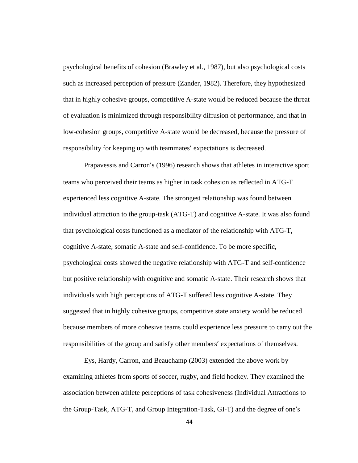psychological benefits of cohesion (Brawley et al., 1987), but also psychological costs such as increased perception of pressure (Zander, 1982). Therefore, they hypothesized that in highly cohesive groups, competitive A-state would be reduced because the threat of evaluation is minimized through responsibility diffusion of performance, and that in low-cohesion groups, competitive A-state would be decreased, because the pressure of responsibility for keeping up with teammates' expectations is decreased.

Prapavessis and Carron's (1996) research shows that athletes in interactive sport teams who perceived their teams as higher in task cohesion as reflected in ATG-T experienced less cognitive A-state. The strongest relationship was found between individual attraction to the group-task (ATG-T) and cognitive A-state. It was also found that psychological costs functioned as a mediator of the relationship with ATG-T, cognitive A-state, somatic A-state and self-confidence. To be more specific, psychological costs showed the negative relationship with ATG-T and self-confidence but positive relationship with cognitive and somatic A-state. Their research shows that individuals with high perceptions of ATG-T suffered less cognitive A-state. They suggested that in highly cohesive groups, competitive state anxiety would be reduced because members of more cohesive teams could experience less pressure to carry out the responsibilities of the group and satisfy other members' expectations of themselves.

Eys, Hardy, Carron, and Beauchamp (2003) extended the above work by examining athletes from sports of soccer, rugby, and field hockey. They examined the association between athlete perceptions of task cohesiveness (Individual Attractions to the Group-Task, ATG-T, and Group Integration-Task, GI-T) and the degree of one's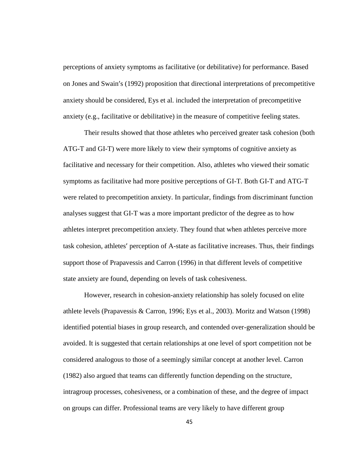perceptions of anxiety symptoms as facilitative (or debilitative) for performance. Based on Jones and Swain's (1992) proposition that directional interpretations of precompetitive anxiety should be considered, Eys et al. included the interpretation of precompetitive anxiety (e.g., facilitative or debilitative) in the measure of competitive feeling states.

Their results showed that those athletes who perceived greater task cohesion (both ATG-T and GI-T) were more likely to view their symptoms of cognitive anxiety as facilitative and necessary for their competition. Also, athletes who viewed their somatic symptoms as facilitative had more positive perceptions of GI-T. Both GI-T and ATG-T were related to precompetition anxiety. In particular, findings from discriminant function analyses suggest that GI-T was a more important predictor of the degree as to how athletes interpret precompetition anxiety. They found that when athletes perceive more task cohesion, athletes' perception of A-state as facilitative increases. Thus, their findings support those of Prapavessis and Carron (1996) in that different levels of competitive state anxiety are found, depending on levels of task cohesiveness.

However, research in cohesion-anxiety relationship has solely focused on elite athlete levels (Prapavessis & Carron, 1996; Eys et al., 2003). Moritz and Watson (1998) identified potential biases in group research, and contended over-generalization should be avoided. It is suggested that certain relationships at one level of sport competition not be considered analogous to those of a seemingly similar concept at another level. Carron (1982) also argued that teams can differently function depending on the structure, intragroup processes, cohesiveness, or a combination of these, and the degree of impact on groups can differ. Professional teams are very likely to have different group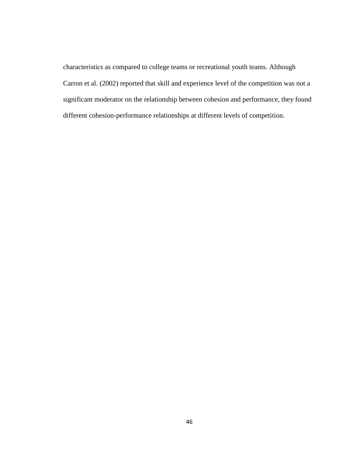characteristics as compared to college teams or recreational youth teams. Although Carron et al. (2002) reported that skill and experience level of the competition was not a significant moderator on the relationship between cohesion and performance, they found different cohesion-performance relationships at different levels of competition.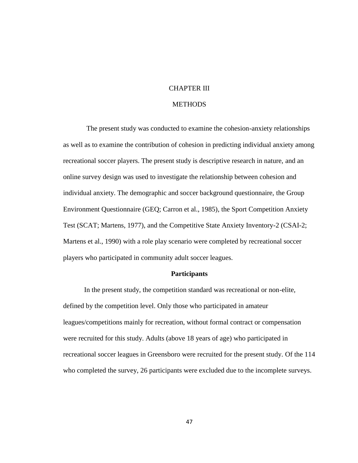# CHAPTER III

## **METHODS**

The present study was conducted to examine the cohesion-anxiety relationships as well as to examine the contribution of cohesion in predicting individual anxiety among recreational soccer players. The present study is descriptive research in nature, and an online survey design was used to investigate the relationship between cohesion and individual anxiety. The demographic and soccer background questionnaire, the Group Environment Questionnaire (GEQ; Carron et al., 1985), the Sport Competition Anxiety Test (SCAT; Martens, 1977), and the Competitive State Anxiety Inventory-2 (CSAI-2; Martens et al., 1990) with a role play scenario were completed by recreational soccer players who participated in community adult soccer leagues.

#### **Participants**

In the present study, the competition standard was recreational or non-elite, defined by the competition level. Only those who participated in amateur leagues/competitions mainly for recreation, without formal contract or compensation were recruited for this study. Adults (above 18 years of age) who participated in recreational soccer leagues in Greensboro were recruited for the present study. Of the 114 who completed the survey, 26 participants were excluded due to the incomplete surveys.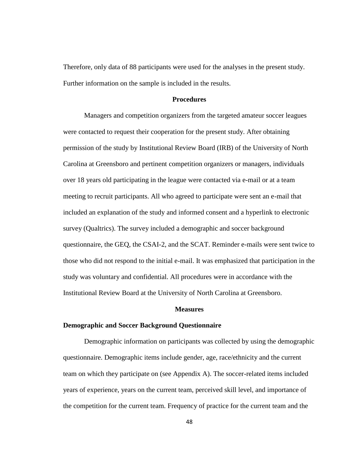Therefore, only data of 88 participants were used for the analyses in the present study. Further information on the sample is included in the results.

#### **Procedures**

Managers and competition organizers from the targeted amateur soccer leagues were contacted to request their cooperation for the present study. After obtaining permission of the study by Institutional Review Board (IRB) of the University of North Carolina at Greensboro and pertinent competition organizers or managers, individuals over 18 years old participating in the league were contacted via e-mail or at a team meeting to recruit participants. All who agreed to participate were sent an e-mail that included an explanation of the study and informed consent and a hyperlink to electronic survey (Qualtrics). The survey included a demographic and soccer background questionnaire, the GEQ, the CSAI-2, and the SCAT. Reminder e-mails were sent twice to those who did not respond to the initial e-mail. It was emphasized that participation in the study was voluntary and confidential. All procedures were in accordance with the Institutional Review Board at the University of North Carolina at Greensboro.

#### **Measures**

#### **Demographic and Soccer Background Questionnaire**

Demographic information on participants was collected by using the demographic questionnaire. Demographic items include gender, age, race/ethnicity and the current team on which they participate on (see Appendix A). The soccer-related items included years of experience, years on the current team, perceived skill level, and importance of the competition for the current team. Frequency of practice for the current team and the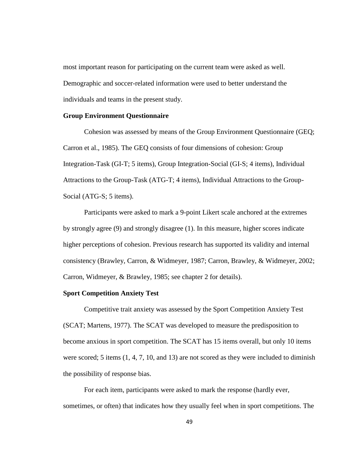most important reason for participating on the current team were asked as well. Demographic and soccer-related information were used to better understand the individuals and teams in the present study.

## **Group Environment Questionnaire**

Cohesion was assessed by means of the Group Environment Questionnaire (GEQ; Carron et al., 1985). The GEQ consists of four dimensions of cohesion: Group Integration-Task (GI-T; 5 items), Group Integration-Social (GI-S; 4 items), Individual Attractions to the Group-Task (ATG-T; 4 items), Individual Attractions to the Group- Social (ATG-S; 5 items).

Participants were asked to mark a 9-point Likert scale anchored at the extremes by strongly agree (9) and strongly disagree (1). In this measure, higher scores indicate higher perceptions of cohesion. Previous research has supported its validity and internal consistency (Brawley, Carron, & Widmeyer, 1987; Carron, Brawley, & Widmeyer, 2002; Carron, Widmeyer, & Brawley, 1985; see chapter 2 for details).

#### **Sport Competition Anxiety Test**

Competitive trait anxiety was assessed by the Sport Competition Anxiety Test (SCAT; Martens, 1977). The SCAT was developed to measure the predisposition to become anxious in sport competition. The SCAT has 15 items overall, but only 10 items were scored; 5 items (1, 4, 7, 10, and 13) are not scored as they were included to diminish the possibility of response bias.

For each item, participants were asked to mark the response (hardly ever, sometimes, or often) that indicates how they usually feel when in sport competitions. The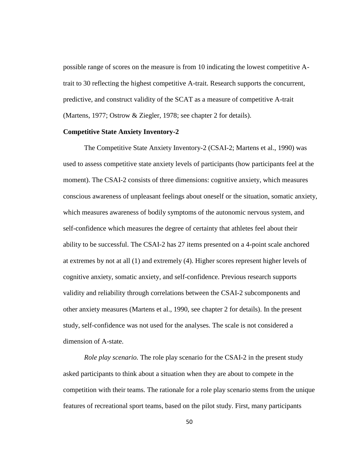possible range of scores on the measure is from 10 indicating the lowest competitive Atrait to 30 reflecting the highest competitive A-trait. Research supports the concurrent, predictive, and construct validity of the SCAT as a measure of competitive A-trait (Martens, 1977; Ostrow & Ziegler, 1978; see chapter 2 for details).

## **Competitive State Anxiety Inventory-2**

The Competitive State Anxiety Inventory-2 (CSAI-2; Martens et al., 1990) was used to assess competitive state anxiety levels of participants (how participants feel at the moment). The CSAI-2 consists of three dimensions: cognitive anxiety, which measures conscious awareness of unpleasant feelings about oneself or the situation, somatic anxiety, which measures awareness of bodily symptoms of the autonomic nervous system, and self-confidence which measures the degree of certainty that athletes feel about their ability to be successful. The CSAI-2 has 27 items presented on a 4-point scale anchored at extremes by not at all (1) and extremely (4). Higher scores represent higher levels of cognitive anxiety, somatic anxiety, and self-confidence. Previous research supports validity and reliability through correlations between the CSAI-2 subcomponents and other anxiety measures (Martens et al., 1990, see chapter 2 for details). In the present study, self-confidence was not used for the analyses. The scale is not considered a dimension of A-state.

*Role play scenario.* The role play scenario for the CSAI-2 in the present study asked participants to think about a situation when they are about to compete in the competition with their teams. The rationale for a role play scenario stems from the unique features of recreational sport teams, based on the pilot study. First, many participants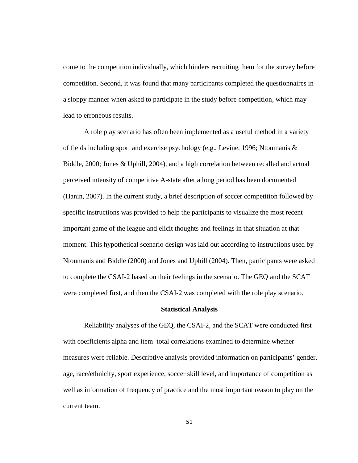come to the competition individually, which hinders recruiting them for the survey before competition. Second, it was found that many participants completed the questionnaires in a sloppy manner when asked to participate in the study before competition, which may lead to erroneous results.

A role play scenario has often been implemented as a useful method in a variety of fields including sport and exercise psychology (e.g., Levine, 1996; Ntoumanis & Biddle, 2000; Jones & Uphill, 2004), and a high correlation between recalled and actual perceived intensity of competitive A-state after a long period has been documented (Hanin, 2007). In the current study, a brief description of soccer competition followed by specific instructions was provided to help the participants to visualize the most recent important game of the league and elicit thoughts and feelings in that situation at that moment. This hypothetical scenario design was laid out according to instructions used by Ntoumanis and Biddle (2000) and Jones and Uphill (2004). Then, participants were asked to complete the CSAI-2 based on their feelings in the scenario. The GEQ and the SCAT were completed first, and then the CSAI-2 was completed with the role play scenario.

#### **Statistical Analysis**

Reliability analyses of the GEQ, the CSAI-2, and the SCAT were conducted first with coefficients alpha and item–total correlations examined to determine whether measures were reliable. Descriptive analysis provided information on participants' gender, age, race/ethnicity, sport experience, soccer skill level, and importance of competition as well as information of frequency of practice and the most important reason to play on the current team.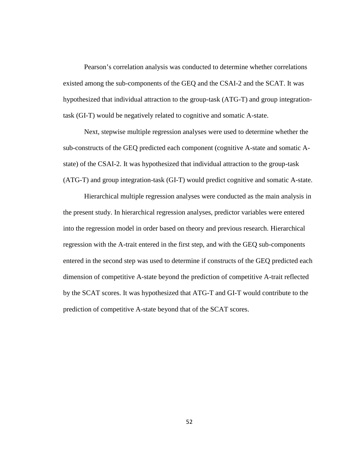Pearson's correlation analysis was conducted to determine whether correlations existed among the sub-components of the GEQ and the CSAI-2 and the SCAT. It was hypothesized that individual attraction to the group-task (ATG-T) and group integrationtask (GI-T) would be negatively related to cognitive and somatic A-state.

Next, stepwise multiple regression analyses were used to determine whether the sub-constructs of the GEQ predicted each component (cognitive A-state and somatic A state) of the CSAI-2. It was hypothesized that individual attraction to the group-task (ATG-T) and group integration-task (GI-T) would predict cognitive and somatic A-state.

Hierarchical multiple regression analyses were conducted as the main analysis in the present study. In hierarchical regression analyses, predictor variables were entered into the regression model in order based on theory and previous research. Hierarchical regression with the A-trait entered in the first step, and with the GEQ sub-components entered in the second step was used to determine if constructs of the GEQ predicted each dimension of competitive A-state beyond the prediction of competitive A-trait reflected by the SCAT scores. It was hypothesized that ATG-T and GI-T would contribute to the prediction of competitive A-state beyond that of the SCAT scores.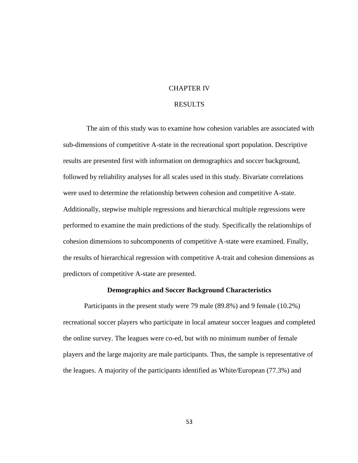## CHAPTER IV

## RESULTS

The aim of this study was to examine how cohesion variables are associated with sub-dimensions of competitive A-state in the recreational sport population. Descriptive results are presented first with information on demographics and soccer background, followed by reliability analyses for all scales used in this study. Bivariate correlations were used to determine the relationship between cohesion and competitive A-state. Additionally, stepwise multiple regressions and hierarchical multiple regressions were performed to examine the main predictions of the study. Specifically the relationships of cohesion dimensions to subcomponents of competitive A-state were examined. Finally, the results of hierarchical regression with competitive A-trait and cohesion dimensions as predictors of competitive A-state are presented.

#### **Demographics and Soccer Background Characteristics**

Participants in the present study were 79 male (89.8%) and 9 female (10.2%) recreational soccer players who participate in local amateur soccer leagues and completed the online survey. The leagues were co-ed, but with no minimum number of female players and the large majority are male participants. Thus, the sample is representative of the leagues. A majority of the participants identified as White/European (77.3%) and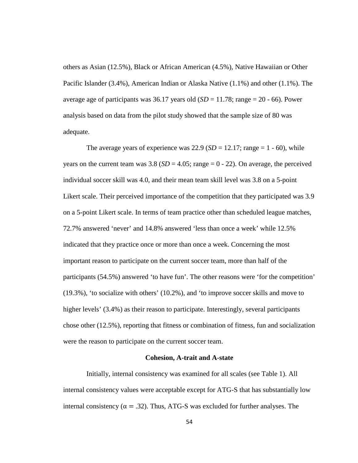others as Asian (12.5%), Black or African American (4.5%), Native Hawaiian or Other Pacific Islander (3.4%), American Indian or Alaska Native (1.1%) and other (1.1%). The average age of participants was 36.17 years old  $(SD = 11.78; \text{range} = 20 - 66)$ . Power analysis based on data from the pilot study showed that the sample size of 80 was adequate.

The average years of experience was  $22.9$  (*SD* = 12.17; range = 1 - 60), while years on the current team was  $3.8$  (*SD* = 4.05; range = 0 - 22). On average, the perceived individual soccer skill was 4.0, and their mean team skill level was 3.8 on a 5-point Likert scale. Their perceived importance of the competition that they participated was 3.9 on a 5-point Likert scale. In terms of team practice other than scheduled league matches, 72.7% answered 'never' and 14.8% answered 'less than once a week' while 12.5% indicated that they practice once or more than once a week. Concerning the most important reason to participate on the current soccer team, more than half of the participants (54.5%) answered 'to have fun'. The other reasons were 'for the competition' (19.3%), 'to socialize with others' (10.2%), and 'to improve soccer skills and move to higher levels' (3.4%) as their reason to participate. Interestingly, several participants chose other (12.5%), reporting that fitness or combination of fitness, fun and socialization were the reason to participate on the current soccer team.

#### **Cohesion, A-trait and A-state**

Initially, internal consistency was examined for all scales (see Table 1). All internal consistency values were acceptable except for ATG-S that has substantially low internal consistency  $( = .32)$ . Thus, ATG-S was excluded for further analyses. The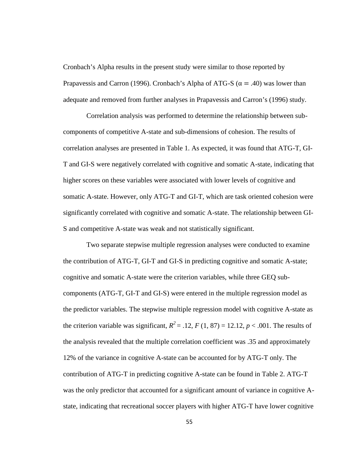Cronbach's Alpha results in the present study were similar to those reported by Prapavessis and Carron (1996). Cronbach's Alpha of ATG-S ( $= .40$ ) was lower than adequate and removed from further analyses in Prapavessis and Carron's (1996) study.

Correlation analysis was performed to determine the relationship between sub components of competitive A-state and sub-dimensions of cohesion. The results of correlation analyses are presented in Table 1. As expected, it was found that ATG-T, GI- T and GI-S were negatively correlated with cognitive and somatic A-state, indicating that higher scores on these variables were associated with lower levels of cognitive and somatic A-state. However, only ATG-T and GI-T, which are task oriented cohesion were significantly correlated with cognitive and somatic A-state. The relationship between GI- S and competitive A-state was weak and not statistically significant.

Two separate stepwise multiple regression analyses were conducted to examine the contribution of ATG-T, GI-T and GI-S in predicting cognitive and somatic A-state; cognitive and somatic A-state were the criterion variables, while three GEQ sub components (ATG-T, GI-T and GI-S) were entered in the multiple regression model as the predictor variables. The stepwise multiple regression model with cognitive A-state as the criterion variable was significant,  $R^2 = .12$ ,  $F(1, 87) = 12.12$ ,  $p < .001$ . The results of the analysis revealed that the multiple correlation coefficient was .35 and approximately 12% of the variance in cognitive A-state can be accounted for by ATG-T only. The contribution of ATG-T in predicting cognitive A-state can be found in Table 2. ATG-T was the only predictor that accounted for a significant amount of variance in cognitive A state, indicating that recreational soccer players with higher ATG-T have lower cognitive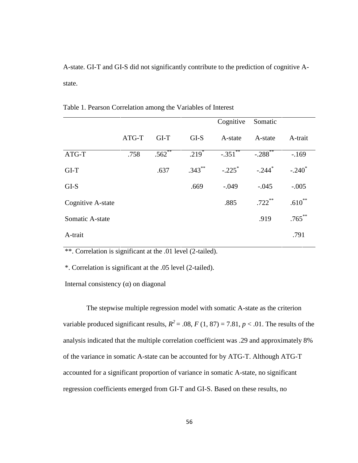A-state. GI-T and GI-S did not significantly contribute to the prediction of cognitive A state.

|                          |       |           |           | Cognitive  | Somatic               |             |
|--------------------------|-------|-----------|-----------|------------|-----------------------|-------------|
|                          | ATG-T | $GI-T$    | GLS       | A-state    | A-state               | A-trait     |
| ATG-T                    | .758  | $.562$ ** | $.219*$   | $-.351$ ** | $-.288$ <sup>**</sup> | $-169$      |
| $GI-T$                   |       | .637      | $.343***$ | $-.225$    | $-.244$ <sup>*</sup>  | $-.240^*$   |
| GI-S                     |       |           | .669      | $-.049$    | $-.045$               | $-.005$     |
| <b>Cognitive A-state</b> |       |           |           | .885       | $.722$ **             | $.610^{**}$ |
| Somatic A-state          |       |           |           |            | .919                  | $.765***$   |
| A-trait                  |       |           |           |            |                       | .791        |

Table 1. Pearson Correlation among the Variables of Interest

\*\*. Correlation is significant at the .01 level (2-tailed).

\*. Correlation is significant at the .05 level (2-tailed).

Internal consistency ( ) on diagonal

The stepwise multiple regression model with somatic A-state as the criterion variable produced significant results,  $R^2 = .08$ ,  $F(1, 87) = 7.81$ ,  $p < .01$ . The results of the analysis indicated that the multiple correlation coefficient was .29 and approximately 8% of the variance in somatic A-state can be accounted for by ATG-T. Although ATG-T accounted for a significant proportion of variance in somatic A-state, no significant regression coefficients emerged from GI-T and GI-S. Based on these results, no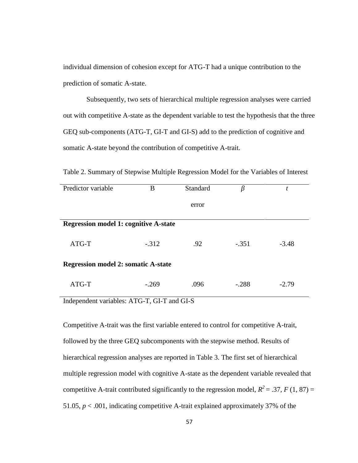individual dimension of cohesion except for ATG-T had a unique contribution to the prediction of somatic A-state.

Subsequently, two sets of hierarchical multiple regression analyses were carried out with competitive A-state as the dependent variable to test the hypothesis that the three GEQ sub-components (ATG-T, GI-T and GI-S) add to the prediction of cognitive and somatic A-state beyond the contribution of competitive A-trait.

Table 2. Summary of Stepwise Multiple Regression Model for the Variables of Interest

| Predictor variable                           | B       | Standard |         | t       |  |  |
|----------------------------------------------|---------|----------|---------|---------|--|--|
|                                              |         | error    |         |         |  |  |
| <b>Regression model 1: cognitive A-state</b> |         |          |         |         |  |  |
| ATG-T                                        | $-.312$ | .92      | $-.351$ | $-3.48$ |  |  |
| <b>Regression model 2: somatic A-state</b>   |         |          |         |         |  |  |
| ATG-T                                        | $-.269$ | .096     | $-.288$ | $-2.79$ |  |  |

Independent variables: ATG-T, GI-T and GI-S

Competitive A-trait was the first variable entered to control for competitive A-trait, followed by the three GEQ subcomponents with the stepwise method. Results of hierarchical regression analyses are reported in Table 3. The first set of hierarchical multiple regression model with cognitive A-state as the dependent variable revealed that competitive A-trait contributed significantly to the regression model,  $R^2 = .37$ ,  $F(1, 87) =$ 51.05,  $p < .001$ , indicating competitive A-trait explained approximately 37% of the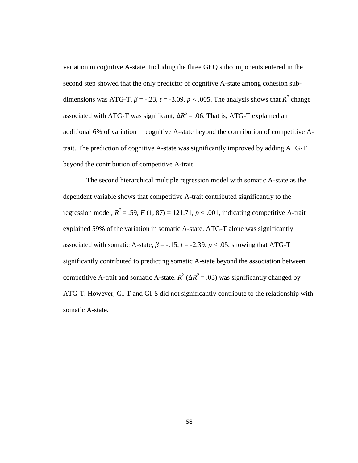variation in cognitive A-state. Including the three GEQ subcomponents entered in the second step showed that the only predictor of cognitive A-state among cohesion sub dimensions was ATG-T,  $= -.23, t = -3.09, p < .005$ . The analysis shows that  $R^2$  change associated with ATG-T was significant,  $\Delta R^2$  = .06. That is, ATG-T explained an additional 6% of variation in cognitive A-state beyond the contribution of competitive Atrait. The prediction of cognitive A-state was significantly improved by adding ATG-T beyond the contribution of competitive A-trait.

The second hierarchical multiple regression model with somatic A-state as the dependent variable shows that competitive A-trait contributed significantly to the regression model,  $R^2 = .59$ ,  $F(1, 87) = 121.71$ ,  $p < .001$ , indicating competitive A-trait explained 59% of the variation in somatic A-state. ATG-T alone was significantly associated with somatic A-state,  $= -.15$ ,  $t = -2.39$ ,  $p < .05$ , showing that ATG-T significantly contributed to predicting somatic A-state beyond the association between competitive A-trait and somatic A-state.  $R^2$  ( $\Delta R^2$  = .03) was significantly changed by ATG-T. However, GI-T and GI-S did not significantly contribute to the relationship with somatic A-state.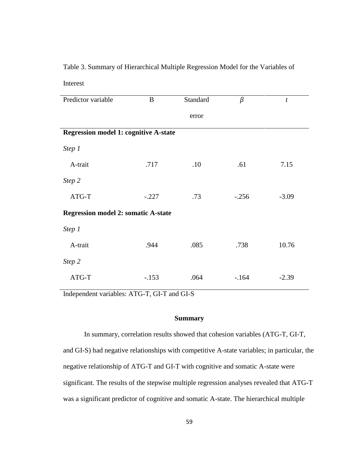# Table 3. Summary of Hierarchical Multiple Regression Model for the Variables of Interest

| Predictor variable                           | B       | Standard |         | $\boldsymbol{t}$ |  |  |  |
|----------------------------------------------|---------|----------|---------|------------------|--|--|--|
|                                              |         |          |         |                  |  |  |  |
|                                              |         | error    |         |                  |  |  |  |
|                                              |         |          |         |                  |  |  |  |
| <b>Regression model 1: cognitive A-state</b> |         |          |         |                  |  |  |  |
| Step 1                                       |         |          |         |                  |  |  |  |
|                                              |         |          |         |                  |  |  |  |
| A-trait                                      | .717    | .10      | .61     | 7.15             |  |  |  |
|                                              |         |          |         |                  |  |  |  |
| Step 2                                       |         |          |         |                  |  |  |  |
| ATG-T                                        | $-.227$ | .73      | $-.256$ | $-3.09$          |  |  |  |
|                                              |         |          |         |                  |  |  |  |
| <b>Regression model 2: somatic A-state</b>   |         |          |         |                  |  |  |  |
| Step 1                                       |         |          |         |                  |  |  |  |
|                                              |         |          |         |                  |  |  |  |
| A-trait                                      | .944    | .085     | .738    | 10.76            |  |  |  |
|                                              |         |          |         |                  |  |  |  |
| Step 2                                       |         |          |         |                  |  |  |  |
| ATG-T                                        | $-.153$ | .064     | $-164$  | $-2.39$          |  |  |  |
|                                              |         |          |         |                  |  |  |  |
|                                              |         |          |         |                  |  |  |  |

Independent variables: ATG-T, GI-T and GI-S

# **Summary**

In summary, correlation results showed that cohesion variables (ATG-T, GI-T, and GI-S) had negative relationships with competitive A-state variables; in particular, the negative relationship of ATG-T and GI-T with cognitive and somatic A-state were significant. The results of the stepwise multiple regression analyses revealed that ATG-T was a significant predictor of cognitive and somatic A-state. The hierarchical multiple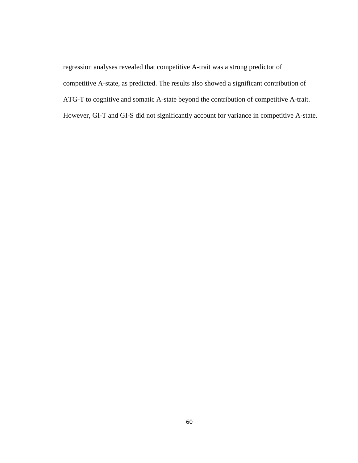regression analyses revealed that competitive A-trait was a strong predictor of competitive A-state, as predicted. The results also showed a significant contribution of ATG-T to cognitive and somatic A-state beyond the contribution of competitive A-trait. However, GI-T and GI-S did not significantly account for variance in competitive A-state.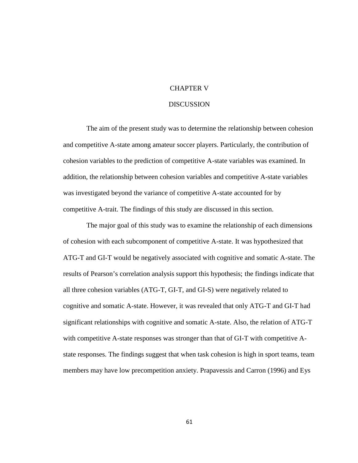# CHAPTER V

## **DISCUSSION**

The aim of the present study was to determine the relationship between cohesion and competitive A-state among amateur soccer players. Particularly, the contribution of cohesion variables to the prediction of competitive A-state variables was examined. In addition, the relationship between cohesion variables and competitive A-state variables was investigated beyond the variance of competitive A-state accounted for by competitive A-trait. The findings of this study are discussed in this section.

The major goal of this study was to examine the relationship of each dimensions of cohesion with each subcomponent of competitive A-state. It was hypothesized that ATG-T and GI-T would be negatively associated with cognitive and somatic A-state. The results of Pearson's correlation analysis support this hypothesis; the findings indicate that all three cohesion variables (ATG-T, GI-T, and GI-S) were negatively related to cognitive and somatic A-state. However, it was revealed that only ATG-T and GI-T had significant relationships with cognitive and somatic A-state. Also, the relation of ATG-T with competitive A-state responses was stronger than that of GI-T with competitive A state responses. The findings suggest that when task cohesion is high in sport teams, team members may have low precompetition anxiety. Prapavessis and Carron (1996) and Eys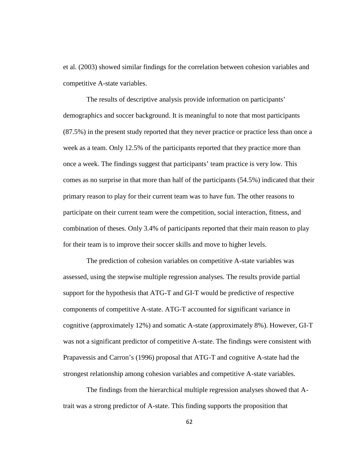et al. (2003) showed similar findings for the correlation between cohesion variables and competitive A-state variables.

The results of descriptive analysis provide information on participants' demographics and soccer background. It is meaningful to note that most participants (87.5%) in the present study reported that they never practice or practice less than once a week as a team. Only 12.5% of the participants reported that they practice more than once a week. The findings suggest that participants' team practice is very low. This comes as no surprise in that more than half of the participants (54.5%) indicated that their primary reason to play for their current team was to have fun. The other reasons to participate on their current team were the competition, social interaction, fitness, and combination of theses. Only 3.4% of participants reported that their main reason to play for their team is to improve their soccer skills and move to higher levels.

The prediction of cohesion variables on competitive A-state variables was assessed, using the stepwise multiple regression analyses. The results provide partial support for the hypothesis that ATG-T and GI-T would be predictive of respective components of competitive A-state. ATG-T accounted for significant variance in cognitive (approximately 12%) and somatic A-state (approximately 8%). However, GI-T was not a significant predictor of competitive A-state. The findings were consistent with Prapavessis and Carron's (1996) proposal that ATG-T and cognitive A-state had the strongest relationship among cohesion variables and competitive A-state variables.

The findings from the hierarchical multiple regression analyses showed that Atrait was a strong predictor of A-state. This finding supports the proposition that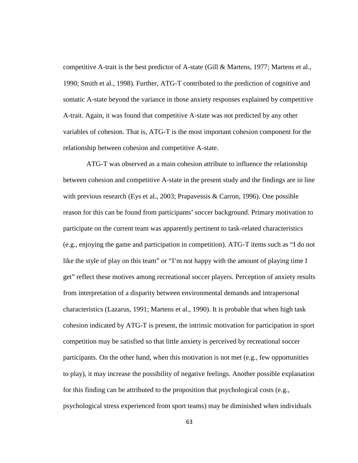competitive A-trait is the best predictor of A-state (Gill & Martens, 1977; Martens et al., 1990; Smith et al., 1998). Further, ATG-T contributed to the prediction of cognitive and somatic A-state beyond the variance in those anxiety responses explained by competitive A-trait. Again, it was found that competitive A-state was not predicted by any other variables of cohesion. That is, ATG-T is the most important cohesion component for the relationship between cohesion and competitive A-state.

ATG-T was observed as a main cohesion attribute to influence the relationship between cohesion and competitive A-state in the present study and the findings are in line with previous research (Eys et al., 2003; Prapavessis & Carron, 1996). One possible reason for this can be found from participants' soccer background. Primary motivation to participate on the current team was apparently pertinent to task-related characteristics (e.g., enjoying the game and participation in competition). ATG-T items such as "I do not like the style of play on this team" or "I'm not happy with the amount of playing time I get" reflect these motives among recreational soccer players. Perception of anxiety results from interpretation of a disparity between environmental demands and intrapersonal characteristics (Lazarus, 1991; Martens et al., 1990). It is probable that when high task cohesion indicated by ATG-T is present, the intrinsic motivation for participation in sport competition may be satisfied so that little anxiety is perceived by recreational soccer participants. On the other hand, when this motivation is not met (e.g., few opportunities to play), it may increase the possibility of negative feelings. Another possible explanation for this finding can be attributed to the proposition that psychological costs (e.g., psychological stress experienced from sport teams) may be diminished when individuals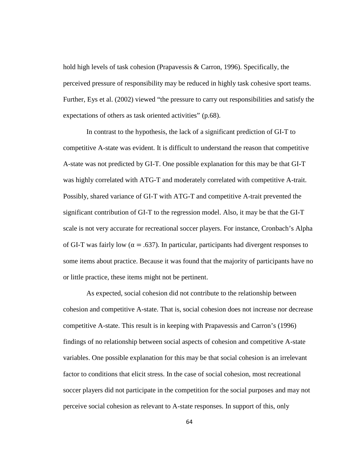hold high levels of task cohesion (Prapavessis & Carron, 1996). Specifically, the perceived pressure of responsibility may be reduced in highly task cohesive sport teams. Further, Eys et al. (2002) viewed "the pressure to carry out responsibilities and satisfy the expectations of others as task oriented activities" (p.68).

In contrast to the hypothesis, the lack of a significant prediction of GI-T to competitive A-state was evident. It is difficult to understand the reason that competitive A-state was not predicted by GI-T. One possible explanation for this may be that GI-T was highly correlated with ATG-T and moderately correlated with competitive A-trait. Possibly, shared variance of GI-T with ATG-T and competitive A-trait prevented the significant contribution of GI-T to the regression model. Also, it may be that the GI-T scale is not very accurate for recreational soccer players. For instance, Cronbach's Alpha of GI-T was fairly low  $( = .637)$ . In particular, participants had divergent responses to some items about practice. Because it was found that the majority of participants have no or little practice, these items might not be pertinent.

As expected, social cohesion did not contribute to the relationship between cohesion and competitive A-state. That is, social cohesion does not increase nor decrease competitive A-state. This result is in keeping with Prapavessis and Carron's (1996) findings of no relationship between social aspects of cohesion and competitive A-state variables. One possible explanation for this may be that social cohesion is an irrelevant factor to conditions that elicit stress. In the case of social cohesion, most recreational soccer players did not participate in the competition for the social purposes and may not perceive social cohesion as relevant to A-state responses. In support of this, only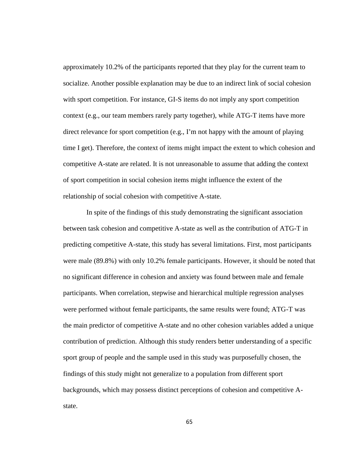approximately 10.2% of the participants reported that they play for the current team to socialize. Another possible explanation may be due to an indirect link of social cohesion with sport competition. For instance, GI-S items do not imply any sport competition context (e.g., our team members rarely party together), while ATG-T items have more direct relevance for sport competition (e.g., I'm not happy with the amount of playing time I get). Therefore, the context of items might impact the extent to which cohesion and competitive A-state are related. It is not unreasonable to assume that adding the context of sport competition in social cohesion items might influence the extent of the relationship of social cohesion with competitive A-state.

In spite of the findings of this study demonstrating the significant association between task cohesion and competitive A-state as well as the contribution of ATG-T in predicting competitive A-state, this study has several limitations. First, most participants were male (89.8%) with only 10.2% female participants. However, it should be noted that no significant difference in cohesion and anxiety was found between male and female participants. When correlation, stepwise and hierarchical multiple regression analyses were performed without female participants, the same results were found; ATG-T was the main predictor of competitive A-state and no other cohesion variables added a unique contribution of prediction. Although this study renders better understanding of a specific sport group of people and the sample used in this study was purposefully chosen, the findings of this study might not generalize to a population from different sport backgrounds, which may possess distinct perceptions of cohesion and competitive A state.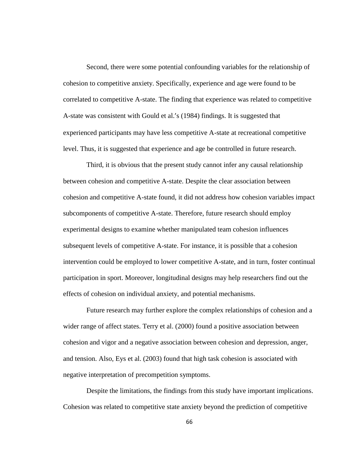Second, there were some potential confounding variables for the relationship of cohesion to competitive anxiety. Specifically, experience and age were found to be correlated to competitive A-state. The finding that experience was related to competitive A-state was consistent with Gould et al.'s (1984) findings. It is suggested that experienced participants may have less competitive A-state at recreational competitive level. Thus, it is suggested that experience and age be controlled in future research.

Third, it is obvious that the present study cannot infer any causal relationship between cohesion and competitive A-state. Despite the clear association between cohesion and competitive A-state found, it did not address how cohesion variables impact subcomponents of competitive A-state. Therefore, future research should employ experimental designs to examine whether manipulated team cohesion influences subsequent levels of competitive A-state. For instance, it is possible that a cohesion intervention could be employed to lower competitive A-state, and in turn, foster continual participation in sport. Moreover, longitudinal designs may help researchers find out the effects of cohesion on individual anxiety, and potential mechanisms.

Future research may further explore the complex relationships of cohesion and a wider range of affect states. Terry et al. (2000) found a positive association between cohesion and vigor and a negative association between cohesion and depression, anger, and tension. Also, Eys et al. (2003) found that high task cohesion is associated with negative interpretation of precompetition symptoms.

Despite the limitations, the findings from this study have important implications. Cohesion was related to competitive state anxiety beyond the prediction of competitive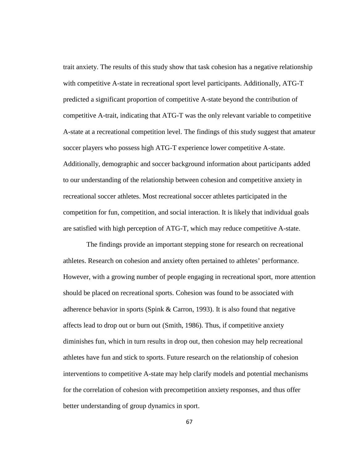trait anxiety. The results of this study show that task cohesion has a negative relationship with competitive A-state in recreational sport level participants. Additionally, ATG-T predicted a significant proportion of competitive A-state beyond the contribution of competitive A-trait, indicating that ATG-T was the only relevant variable to competitive A-state at a recreational competition level. The findings of this study suggest that amateur soccer players who possess high ATG-T experience lower competitive A-state. Additionally, demographic and soccer background information about participants added to our understanding of the relationship between cohesion and competitive anxiety in recreational soccer athletes. Most recreational soccer athletes participated in the competition for fun, competition, and social interaction. It is likely that individual goals are satisfied with high perception of ATG-T, which may reduce competitive A-state.

The findings provide an important stepping stone for research on recreational athletes. Research on cohesion and anxiety often pertained to athletes' performance. However, with a growing number of people engaging in recreational sport, more attention should be placed on recreational sports. Cohesion was found to be associated with adherence behavior in sports (Spink & Carron, 1993). It is also found that negative affects lead to drop out or burn out (Smith, 1986). Thus, if competitive anxiety diminishes fun, which in turn results in drop out, then cohesion may help recreational athletes have fun and stick to sports. Future research on the relationship of cohesion interventions to competitive A-state may help clarify models and potential mechanisms for the correlation of cohesion with precompetition anxiety responses, and thus offer better understanding of group dynamics in sport.

67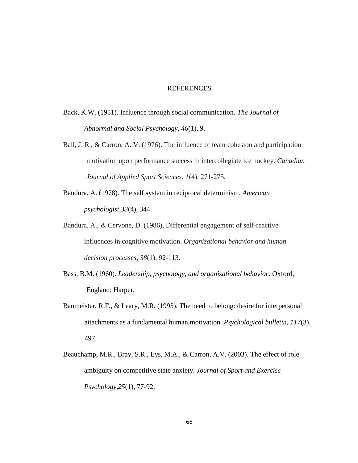## REFERENCES

- Back, K.W. (1951). Influence through social communication. *The Journal of Abnormal and Social Psychology, 46*(1), 9.
- Ball, J. R., & Carron, A. V. (1976). The influence of team cohesion and participation motivation upon performance success in intercollegiate ice hockey. *Canadian Journal of Applied Sport Sciences*, *1*(4), 271-275.
- Bandura, A. (1978). The self system in reciprocal determinism. *American psychologist,33*(4), 344.
- Bandura, A., & Cervone, D. (1986). Differential engagement of self-reactive influences in cognitive motivation. *Organizational behavior and human decision processes*, *38*(1), 92-113.
- Bass, B.M. (1960). *Leadership, psychology, and organizational behavior*. Oxford, England: Harper.
- Baumeister, R.F., & Leary, M.R. (1995). The need to belong: desire for interpersonal attachments as a fundamental human motivation. *Psychological bulletin, 117*(3), 497.
- Beauchamp, M.R., Bray, S.R., Eys, M.A., & Carron, A.V. (2003). The effect of role ambiguity on competitive state anxiety. *Journal of Sport and Exercise Psychology,25*(1), 77-92.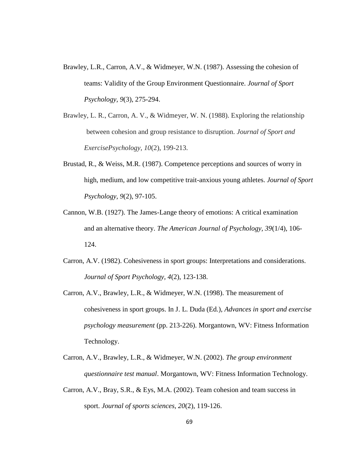- Brawley, L.R., Carron, A.V., & Widmeyer, W.N. (1987). Assessing the cohesion of teams: Validity of the Group Environment Questionnaire. *Journal of Sport Psychology, 9*(3), 275-294.
- Brawley, L. R., Carron, A. V., & Widmeyer, W. N. (1988). Exploring the relationship between cohesion and group resistance to disruption. *Journal of Sport and ExercisePsychology*, *10*(2), 199-213.
- Brustad, R., & Weiss, M.R. (1987). Competence perceptions and sources of worry in high, medium, and low competitive trait-anxious young athletes. *Journal of Sport Psychology, 9*(2), 97-105.
- Cannon, W.B. (1927). The James-Lange theory of emotions: A critical examination and an alternative theory. *The American Journal of Psychology, 39*(1/4), 106- 124.
- Carron, A.V. (1982). Cohesiveness in sport groups: Interpretations and considerations. *Journal of Sport Psychology, 4*(2), 123-138.
- Carron, A.V., Brawley, L.R., & Widmeyer, W.N. (1998). The measurement of cohesiveness in sport groups. In J. L. Duda (Ed.), *Advances in sport and exercise psychology measurement* (pp. 213-226). Morgantown, WV: Fitness Information Technology.
- Carron, A.V., Brawley, L.R., & Widmeyer, W.N. (2002). *The group environment questionnaire test manual*. Morgantown, WV: Fitness Information Technology.
- Carron, A.V., Bray, S.R., & Eys, M.A. (2002). Team cohesion and team success in sport. *Journal of sports sciences, 20*(2), 119-126.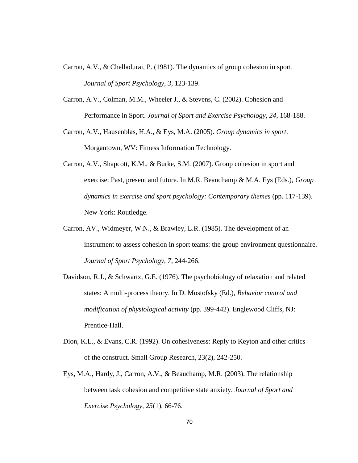- Carron, A.V., & Chelladurai, P. (1981). The dynamics of group cohesion in sport. *Journal of Sport Psychology, 3*, 123-139.
- Carron, A.V., Colman, M.M., Wheeler J., & Stevens, C. (2002). Cohesion and Performance in Sport. *Journal of Sport and Exercise Psychology, 24*, 168-188.
- Carron, A.V., Hausenblas, H.A., & Eys, M.A. (2005). *Group dynamics in sport*. Morgantown, WV: Fitness Information Technology.
- Carron, A.V., Shapcott, K.M., & Burke, S.M. (2007). Group cohesion in sport and exercise: Past, present and future. In M.R. Beauchamp & M.A. Eys (Eds.), *Group dynamics in exercise and sport psychology: Contemporary themes* (pp. 117-139). New York: Routledge.
- Carron, AV., Widmeyer, W.N., & Brawley, L.R. (1985). The development of an instrument to assess cohesion in sport teams: the group environment questionnaire. *Journal of Sport Psychology, 7*, 244-266.
- Davidson, R.J., & Schwartz, G.E. (1976). The psychobiology of relaxation and related states: A multi-process theory. In D. Mostofsky (Ed.), *Behavior control and modification of physiological activity* (pp. 399-442). Englewood Cliffs, NJ: Prentice-Hall.
- Dion, K.L., & Evans, C.R. (1992). On cohesiveness: Reply to Keyton and other critics of the construct. Small Group Research, 23(2), 242-250.
- Eys, M.A., Hardy, J., Carron, A.V., & Beauchamp, M.R. (2003). The relationship between task cohesion and competitive state anxiety. *Journal of Sport and Exercise Psychology, 25*(1), 66-76.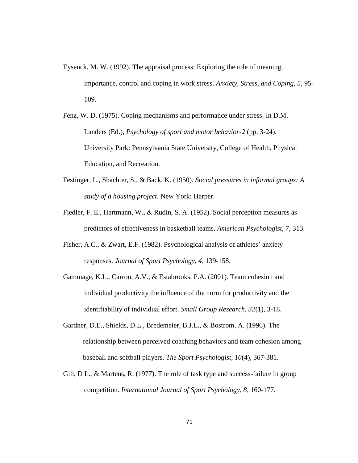- Eysenck, M. W. (1992). The appraisal process: Exploring the role of meaning, importance, control and coping in work stress. *Anxiety, Stress, and Coping, 5*, 95- 109.
- Fenz, W. D. (1975). Coping mechanisms and performance under stress. In D.M. Landers (Ed.), *Psychology of sport and motor behavior-2* (pp. 3-24). University Park: Pennsylvania State University, College of Health, Physical Education, and Recreation.
- Festinger, L., Shachter, S., & Back, K. (1950). *Social pressures in informal groups: A study of a housing project*. New York: Harper.
- Fiedler, F. E., Hartmann, W., & Rudin, S. A. (1952). Social perception measures as predictors of effectiveness in basketball teams. *American Psychologist, 7*, 313.
- Fisher, A.C., & Zwart, E.F. (1982). Psychological analysis of athletes' anxiety responses. *Journal of Sport Psychology, 4*, 139-158.
- Gammage, K.L., Carron, A.V., & Estabrooks, P.A. (2001). Team cohesion and individual productivity the influence of the norm for productivity and the identifiability of individual effort. *Small Group Research, 32*(1), 3-18.
- Gardner, D.E., Shields, D.L., Bredemeier, B.J.L., & Bostrom, A. (1996). The relationship between perceived coaching behaviors and team cohesion among baseball and softball players. *The Sport Psychologist, 10*(4), 367-381.
- Gill, D L., & Martens, R. (1977). The role of task type and success-failure in group competition. *International Journal of Sport Psychology, 8*, 160-177.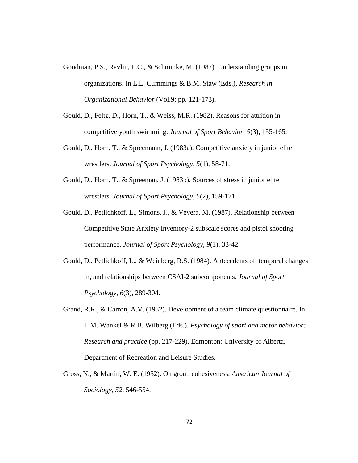- Goodman, P.S., Ravlin, E.C., & Schminke, M. (1987). Understanding groups in organizations. In L.L. Cummings & B.M. Staw (Eds.), *Research in Organizational Behavior* (Vol.9; pp. 121-173).
- Gould, D., Feltz, D., Horn, T., & Weiss, M.R. (1982). Reasons for attrition in competitive youth swimming. *Journal of Sport Behavior, 5*(3), 155-165.
- Gould, D., Horn, T., & Spreemann, J. (1983a). Competitive anxiety in junior elite wrestlers. *Journal of Sport Psychology, 5*(1), 58-71.
- Gould, D., Horn, T., & Spreeman, J. (1983b). Sources of stress in junior elite wrestlers. *Journal of Sport Psychology, 5*(2), 159-171.
- Gould, D., Petlichkoff, L., Simons, J., & Vevera, M. (1987). Relationship between Competitive State Anxiety Inventory-2 subscale scores and pistol shooting performance. *Journal of Sport Psychology, 9*(1), 33-42.
- Gould, D., Petlichkoff, L., & Weinberg, R.S. (1984). Antecedents of, temporal changes in, and relationships between CSAI-2 subcomponents. *Journal of Sport Psychology, 6*(3), 289-304.
- Grand, R.R., & Carron, A.V. (1982). Development of a team climate questionnaire. In L.M. Wankel & R.B. Wilberg (Eds.), *Psychology of sport and motor behavior: Research and practice* (pp. 217-229). Edmonton: University of Alberta, Department of Recreation and Leisure Studies.
- Gross, N., & Martin, W. E. (1952). On group cohesiveness. *American Journal of Sociology, 52*, 546-554.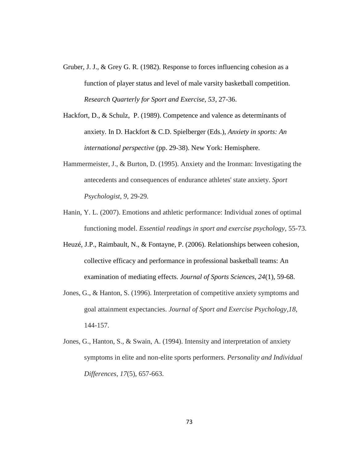- Gruber, J. J., & Grey G. R. (1982). Response to forces influencing cohesion as a function of player status and level of male varsity basketball competition. *Research Quarterly for Sport and Exercise, 53*, 27-36.
- Hackfort, D., & Schulz, P. (1989). Competence and valence as determinants of anxiety. In D. Hackfort & C.D. Spielberger (Eds.), *Anxiety in sports: An international perspective* (pp. 29-38). New York: Hemisphere.
- Hammermeister, J., & Burton, D. (1995). Anxiety and the Ironman: Investigating the antecedents and consequences of endurance athletes' state anxiety. *Sport Psychologist*, *9*, 29-29.
- Hanin, Y. L. (2007). Emotions and athletic performance: Individual zones of optimal functioning model. *Essential readings in sport and exercise psychology*, 55-73.
- Heuzé, J.P., Raimbault, N., & Fontayne, P. (2006). Relationships between cohesion, collective efficacy and performance in professional basketball teams: An examination of mediating effects. *Journal of Sports Sciences, 24*(1), 59-68.
- Jones, G., & Hanton, S. (1996). Interpretation of competitive anxiety symptoms and goal attainment expectancies. *Journal of Sport and Exercise Psychology*,*18*, 144-157.
- Jones, G., Hanton, S., & Swain, A. (1994). Intensity and interpretation of anxiety symptoms in elite and non-elite sports performers. *Personality and Individual Differences*, *17*(5), 657-663.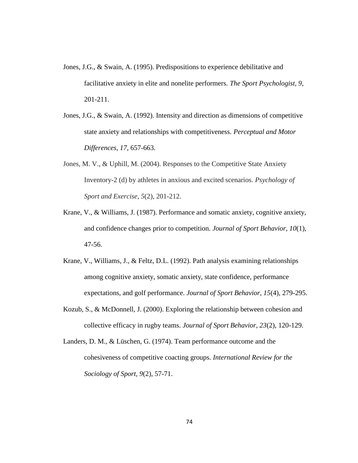- Jones, J.G., & Swain, A. (1995). Predispositions to experience debilitative and facilitative anxiety in elite and nonelite performers. *The Sport Psychologist, 9*, 201-211.
- Jones, J.G., & Swain, A. (1992). Intensity and direction as dimensions of competitive state anxiety and relationships with competitiveness. *Perceptual and Motor Differences, 17*, 657-663.
- Jones, M. V., & Uphill, M. (2004). Responses to the Competitive State Anxiety Inventory-2 (d) by athletes in anxious and excited scenarios. *Psychology of Sport and Exercise*, *5*(2), 201-212.
- Krane, V., & Williams, J. (1987). Performance and somatic anxiety, cognitive anxiety, and confidence changes prior to competition. *Journal of Sport Behavior, 10*(1), 47-56.
- Krane, V., Williams, J., & Feltz, D.L. (1992). Path analysis examining relationships among cognitive anxiety, somatic anxiety, state confidence, performance expectations, and golf performance. *Journal of Sport Behavior, 15*(4), 279-295.
- Kozub, S., & McDonnell, J. (2000). Exploring the relationship between cohesion and collective efficacy in rugby teams. *Journal of Sport Behavior, 23*(2), 120-129.
- Landers, D. M., & Lüschen, G. (1974). Team performance outcome and the cohesiveness of competitive coacting groups. *International Review for the Sociology of Sport, 9*(2), 57-71.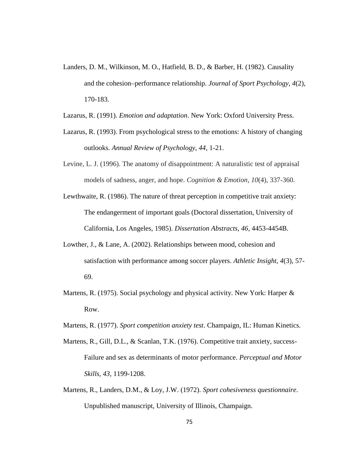- Landers, D. M., Wilkinson, M. O., Hatfield, B. D., & Barber, H. (1982). Causality and the cohesion–performance relationship. *Journal of Sport Psychology, 4*(2), 170-183.
- Lazarus, R. (1991). *Emotion and adaptation*. New York: Oxford University Press.
- Lazarus, R. (1993). From psychological stress to the emotions: A history of changing outlooks. *Annual Review of Psychology, 44*, 1-21.
- Levine, L. J. (1996). The anatomy of disappointment: A naturalistic test of appraisal models of sadness, anger, and hope. *Cognition & Emotion*, *10*(4), 337-360.
- Lewthwaite, R. (1986). The nature of threat perception in competitive trait anxiety: The endangerment of important goals (Doctoral dissertation, University of California, Los Angeles, 1985). *Dissertation Abstracts, 46*, 4453-4454B.
- Lowther, J., & Lane, A. (2002). Relationships between mood, cohesion and satisfaction with performance among soccer players. *Athletic Insight, 4*(3), 57- 69.
- Martens, R. (1975). Social psychology and physical activity. New York: Harper  $\&$ Row.
- Martens, R. (1977). *Sport competition anxiety test*. Champaign, IL: Human Kinetics.
- Martens, R., Gill, D.L., & Scanlan, T.K. (1976). Competitive trait anxiety, success- Failure and sex as determinants of motor performance. *Perceptual and Motor Skills, 43*, 1199-1208.
- Martens, R., Landers, D.M., & Loy, J.W. (1972). *Sport cohesiveness questionnaire*. Unpublished manuscript, University of Illinois, Champaign.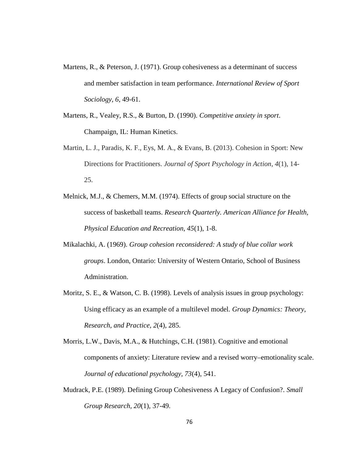- Martens, R., & Peterson, J. (1971). Group cohesiveness as a determinant of success and member satisfaction in team performance. *International Review of Sport Sociology, 6*, 49-61.
- Martens, R., Vealey, R.S., & Burton, D. (1990). *Competitive anxiety in sport*. Champaign, IL: Human Kinetics.
- Martin, L. J., Paradis, K. F., Eys, M. A., & Evans, B. (2013). Cohesion in Sport: New Directions for Practitioners. *Journal of Sport Psychology in Action*, *4*(1), 14- 25.
- Melnick, M.J., & Chemers, M.M. (1974). Effects of group social structure on the success of basketball teams. *Research Quarterly. American Alliance for Health, Physical Education and Recreation, 45*(1), 1-8.
- Mikalachki, A. (1969). *Group cohesion reconsidered: A study of blue collar work groups*. London, Ontario: University of Western Ontario, School of Business Administration.
- Moritz, S. E., & Watson, C. B. (1998). Levels of analysis issues in group psychology: Using efficacy as an example of a multilevel model. *Group Dynamics: Theory, Research, and Practice, 2*(4), 285.
- Morris, L.W., Davis, M.A., & Hutchings, C.H. (1981). Cognitive and emotional components of anxiety: Literature review and a revised worry–emotionality scale. *Journal of educational psychology, 73*(4), 541.
- Mudrack, P.E. (1989). Defining Group Cohesiveness A Legacy of Confusion?. *Small Group Research, 20*(1), 37-49.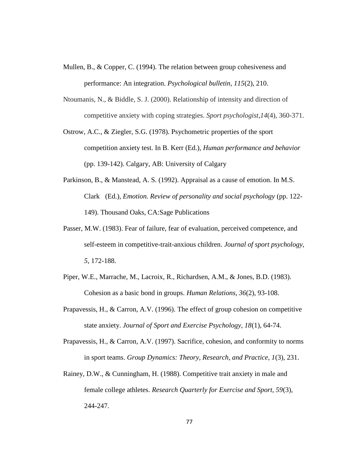- Mullen, B., & Copper, C. (1994). The relation between group cohesiveness and performance: An integration. *Psychological bulletin, 115*(2), 210.
- Ntoumanis, N., & Biddle, S. J. (2000). Relationship of intensity and direction of competitive anxiety with coping strategies. *Sport psychologist*,*14*(4), 360-371.
- Ostrow, A.C., & Ziegler, S.G. (1978). Psychometric properties of the sport competition anxiety test. In B. Kerr (Ed.), *Human performance and behavior* (pp. 139-142). Calgary, AB: University of Calgary
- Parkinson, B., & Manstead, A. S. (1992). Appraisal as a cause of emotion. In M.S. Clark (Ed.), *Emotion. Review of personality and social psychology* (pp. 122- 149). Thousand Oaks, CA:Sage Publications
- Passer, M.W. (1983). Fear of failure, fear of evaluation, perceived competence, and self-esteem in competitive-trait-anxious children. *Journal of sport psychology, 5*, 172-188.
- Piper, W.E., Marrache, M., Lacroix, R., Richardsen, A.M., & Jones, B.D. (1983). Cohesion as a basic bond in groups. *Human Relations, 36*(2), 93-108.
- Prapavessis, H., & Carron, A.V. (1996). The effect of group cohesion on competitive state anxiety. *Journal of Sport and Exercise Psychology, 18*(1), 64-74.
- Prapavessis, H., & Carron, A.V. (1997). Sacrifice, cohesion, and conformity to norms in sport teams. *Group Dynamics: Theory, Research, and Practice, 1*(3), 231.
- Rainey, D.W., & Cunningham, H. (1988). Competitive trait anxiety in male and female college athletes. *Research Quarterly for Exercise and Sport, 59*(3), 244-247.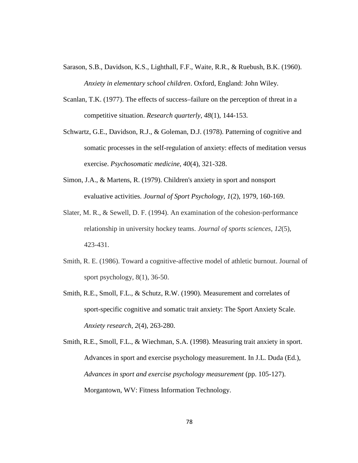- Sarason, S.B., Davidson, K.S., Lighthall, F.F., Waite, R.R., & Ruebush, B.K. (1960). *Anxiety in elementary school children*. Oxford, England: John Wiley.
- Scanlan, T.K. (1977). The effects of success–failure on the perception of threat in a competitive situation. *Research quarterly, 48*(1), 144-153.
- Schwartz, G.E., Davidson, R.J., & Goleman, D.J. (1978). Patterning of cognitive and somatic processes in the self-regulation of anxiety: effects of meditation versus exercise. *Psychosomatic medicine, 40*(4), 321-328.
- Simon, J.A., & Martens, R. (1979). Children's anxiety in sport and nonsport evaluative activities. *Journal of Sport Psychology, 1*(2), 1979, 160-169.
- Slater, M. R., & Sewell, D. F. (1994). An examination of the cohesion-performance relationship in university hockey teams. *Journal of sports sciences*, *12*(5), 423-431.
- Smith, R. E. (1986). Toward a cognitive-affective model of athletic burnout. Journal of sport psychology, 8(1), 36-50.
- Smith, R.E., Smoll, F.L., & Schutz, R.W. (1990). Measurement and correlates of sport-specific cognitive and somatic trait anxiety: The Sport Anxiety Scale. *Anxiety research, 2*(4), 263-280.

Smith, R.E., Smoll, F.L., & Wiechman, S.A. (1998). Measuring trait anxiety in sport. Advances in sport and exercise psychology measurement. In J.L. Duda (Ed.), *Advances in sport and exercise psychology measurement* (pp. 105-127). Morgantown, WV: Fitness Information Technology.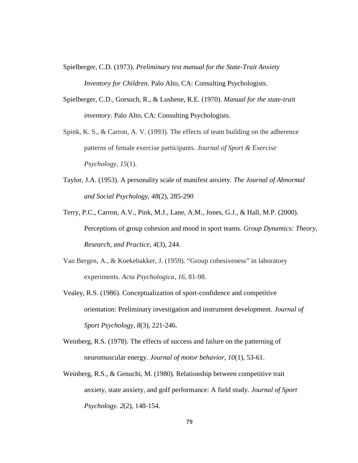- Spielberger, C.D. (1973). *Preliminary test manual for the State-Trait Anxiety Inventory for Children*. Palo Alto, CA: Consulting Psychologists.
- Spielberger, C.D., Gorsuch, R., & Lushene, R.E. (1970). *Manual for the state-trait inventory*. Palo Alto, CA: Consulting Psychologists.
- Spink, K. S., & Carron, A. V. (1993). The effects of team building on the adherence patterns of female exercise participants. *Journal of Sport & Exercise Psychology*, *15*(1).
- Taylor, J.A. (1953). A personality scale of manifest anxiety. *The Journal of Abnormal and Social Psychology, 48*(2), 285-290
- Terry, P.C., Carron, A.V., Pink, M.J., Lane, A.M., Jones, G.J., & Hall, M.P. (2000). Perceptions of group cohesion and mood in sport teams. *Group Dynamics: Theory, Research, and Practice, 4*(3), 244.
- Van Bergen, A., & Koekebakker, J. (1959). "Group cohesiveness" in laboratory experiments. *Acta Psychologica*, *16*, 81-98.
- Vealey, R.S. (1986). Conceptualization of sport-confidence and competitive orientation: Preliminary investigation and instrument development. *Journal of Sport Psychology, 8*(3), 221-246.
- Weinberg, R.S. (1978). The effects of success and failure on the patterning of neuromuscular energy. *Journal of motor behavior, 10*(1), 53-61.
- Weinberg, R.S., & Genuchi, M. (1980). Relationship between competitive trait anxiety, state anxiety, and golf performance: A field study. *Journal of Sport Psychology. 2*(2), 148-154.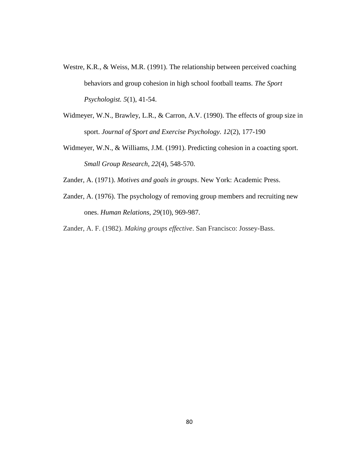- Westre, K.R., & Weiss, M.R. (1991). The relationship between perceived coaching behaviors and group cohesion in high school football teams. *The Sport Psychologist. 5*(1), 41-54.
- Widmeyer, W.N., Brawley, L.R., & Carron, A.V. (1990). The effects of group size in sport. *Journal of Sport and Exercise Psychology. 12*(2), 177-190
- Widmeyer, W.N., & Williams, J.M. (1991). Predicting cohesion in a coacting sport. *Small Group Research, 22*(4), 548-570.

Zander, A. (1971). *Motives and goals in groups*. New York: Academic Press.

Zander, A. (1976). The psychology of removing group members and recruiting new ones. *Human Relations, 29*(10), 969-987.

Zander, A. F. (1982). *Making groups effective*. San Francisco: Jossey-Bass.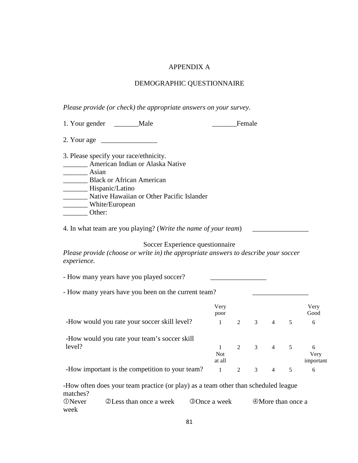## APPENDIX A

# DEMOGRAPHIC QUESTIONNAIRE

*Please provide (or check) the appropriate answers on your survey.*

| Male<br>1. Your gender                                                                                                                                                                                    | Female |
|-----------------------------------------------------------------------------------------------------------------------------------------------------------------------------------------------------------|--------|
| 2. Your age                                                                                                                                                                                               |        |
| 3. Please specify your race/ethnicity.<br>American Indian or Alaska Native<br>Asian<br><b>Black or African American</b><br>Hispanic/Latino<br>Native Hawaiian or Other Pacific Islander<br>White/European |        |
| Other:                                                                                                                                                                                                    |        |

4. In what team are you playing? (*Write the name of your team*)

Soccer Experience questionnaire

*Please provide (choose or write in) the appropriate answers to describe your soccer experience.*

| - How many years have you played soccer?            |                      |                |               |                |                |                        |
|-----------------------------------------------------|----------------------|----------------|---------------|----------------|----------------|------------------------|
| - How many years have you been on the current team? |                      |                |               |                |                |                        |
|                                                     | Very<br>poor         |                |               |                |                | Very<br>Good           |
| -How would you rate your soccer skill level?        | 1                    | $\mathfrak{D}$ | 3             | $\overline{4}$ | 5              | 6                      |
| -How would you rate your team's soccer skill        |                      |                |               |                |                |                        |
| level?                                              | <b>Not</b><br>at all | 2              | $\frac{3}{4}$ |                | $\overline{5}$ | 6<br>Very<br>important |
| -How important is the competition to your team?     | -1                   | 2              | 3             | 4              | 5              | 6                      |

-How often does your team practice (or play) as a team other than scheduled league matches? Never Less than once a week Once a week More than once a week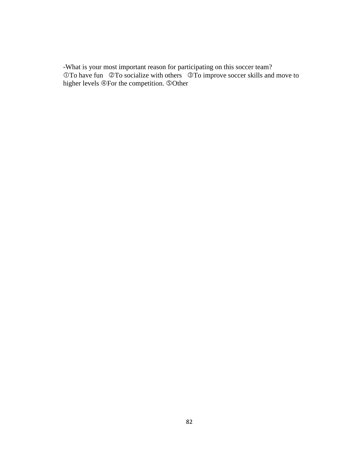-What is your most important reason for participating on this soccer team?  $\overrightarrow{OT}$  o have fun  $\overrightarrow{OT}$  o socialize with others  $\overrightarrow{OT}$  o improve soccer skills and move to higher levels  $\circledR$  For the competition.  $\circledR$ Other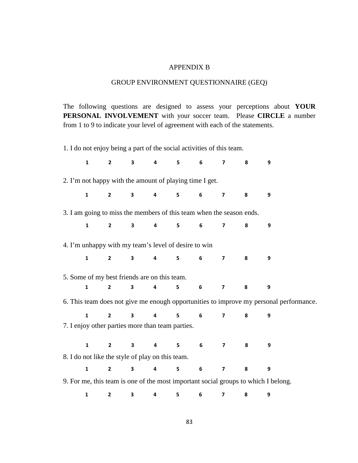## APPENDIX B

## GROUP ENVIRONMENT QUESTIONNAIRE (GEQ)

The following questions are designed to assess your perceptions about **YOUR PERSONAL INVOLVEMENT** with your soccer team. Please **CIRCLE** a number from 1 to 9 to indicate your level of agreement with each of the statements.

1. I do not enjoy being a part of the social activities of this team.

| $\mathbf{1}$                                                         | $\overline{2}$ | $\mathbf{3}$            | $\overline{\mathbf{4}}$ | 5 | 6               | $\overline{7}$          | 8 | 9                                                                                      |
|----------------------------------------------------------------------|----------------|-------------------------|-------------------------|---|-----------------|-------------------------|---|----------------------------------------------------------------------------------------|
| 2. I'm not happy with the amount of playing time I get.              |                |                         |                         |   |                 |                         |   |                                                                                        |
| $\mathbf{1}$                                                         | $\mathbf{2}$   | 3 <sup>7</sup>          | $\overline{\mathbf{4}}$ | 5 | 6               | $\overline{\mathbf{z}}$ | 8 | 9                                                                                      |
| 3. I am going to miss the members of this team when the season ends. |                |                         |                         |   |                 |                         |   |                                                                                        |
| $\mathbf{1}$                                                         | $\mathbf{2}$   | $\mathbf{3}$            | 4                       | 5 | 6               | $\overline{\mathbf{z}}$ | 8 | 9                                                                                      |
| 4. I'm unhappy with my team's level of desire to win                 |                |                         |                         |   |                 |                         |   |                                                                                        |
| $\mathbf{1}$                                                         | $2^{\circ}$    | 3 <sup>7</sup>          | $\overline{\mathbf{4}}$ | 5 | $6\overline{6}$ | $\overline{7}$          | 8 | 9                                                                                      |
| 5. Some of my best friends are on this team.                         |                |                         |                         |   |                 |                         |   |                                                                                        |
| $\mathbf{1}$                                                         | $\overline{2}$ | 3                       | 4                       | 5 | 6               | $\overline{\mathbf{z}}$ | 8 | 9                                                                                      |
|                                                                      |                |                         |                         |   |                 |                         |   | 6. This team does not give me enough opportunities to improve my personal performance. |
| $\mathbf{1}$                                                         | $\overline{2}$ | $\overline{\mathbf{3}}$ | $\overline{\mathbf{4}}$ | 5 | 6               | $\overline{7}$          | 8 | 9                                                                                      |
| 7. I enjoy other parties more than team parties.                     |                |                         |                         |   |                 |                         |   |                                                                                        |
| $\mathbf{1}$                                                         | $\overline{2}$ | $\mathbf{3}$            | 4                       | 5 | 6 <sup>1</sup>  | $\overline{7}$          | 8 | 9                                                                                      |
| 8. I do not like the style of play on this team.                     |                |                         |                         |   |                 |                         |   |                                                                                        |
| $\mathbf{1}$                                                         | $\overline{2}$ | $\overline{\mathbf{3}}$ | $\overline{\mathbf{4}}$ | 5 | 6               | $\overline{\mathbf{z}}$ | 8 | 9                                                                                      |
|                                                                      |                |                         |                         |   |                 |                         |   | 9. For me, this team is one of the most important social groups to which I belong.     |
| 1                                                                    | $\mathbf{2}$   | 3                       | 4                       | 5 | 6               | $\overline{7}$          | 8 | 9                                                                                      |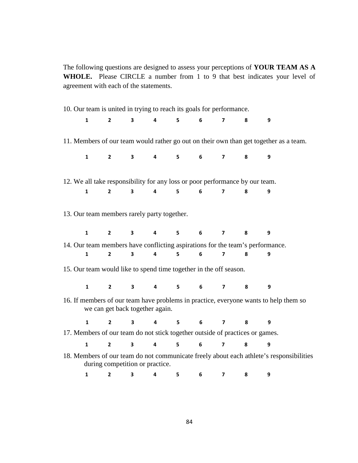The following questions are designed to assess your perceptions of **YOUR TEAM AS A** WHOLE. Please CIRCLE a number from 1 to 9 that best indicates your level of agreement with each of the statements.

| 10. Our team is united in trying to reach its goals for performance.         |                |                                 |                         |                |                 |                         |   |                                                                                         |  |
|------------------------------------------------------------------------------|----------------|---------------------------------|-------------------------|----------------|-----------------|-------------------------|---|-----------------------------------------------------------------------------------------|--|
| $\mathbf{1}$                                                                 | $\mathbf{2}$   | $\overline{\mathbf{3}}$         | $\overline{\mathbf{4}}$ | 5              | 6               | $\overline{7}$          | 8 | 9                                                                                       |  |
|                                                                              |                |                                 |                         |                |                 |                         |   | 11. Members of our team would rather go out on their own than get together as a team.   |  |
| $\mathbf{1}$                                                                 | $\mathbf{2}$   | $\mathbf{3}$                    | $\overline{\mathbf{4}}$ | 5              | 6               | $\overline{\mathbf{z}}$ | 8 | 9                                                                                       |  |
| 12. We all take responsibility for any loss or poor performance by our team. |                |                                 |                         |                |                 |                         |   |                                                                                         |  |
| $\mathbf{1}$                                                                 | $\overline{2}$ | $\overline{\mathbf{3}}$         | $\overline{\mathbf{4}}$ | 5              | $6\phantom{1}$  | $\overline{7}$          | 8 | 9                                                                                       |  |
| 13. Our team members rarely party together.                                  |                |                                 |                         |                |                 |                         |   |                                                                                         |  |
| $\mathbf{1}$                                                                 | $2^{\circ}$    | $\overline{\mathbf{3}}$         | $\overline{\mathbf{4}}$ | 5 <sup>1</sup> | 6               | $\overline{\mathbf{z}}$ | 8 | 9                                                                                       |  |
|                                                                              |                |                                 |                         |                |                 |                         |   | 14. Our team members have conflicting aspirations for the team's performance.           |  |
| $\mathbf{1}$                                                                 | $\overline{2}$ | 3                               | $\overline{\mathbf{4}}$ | 5              | 6               | $\overline{7}$          | 8 | 9                                                                                       |  |
| 15. Our team would like to spend time together in the off season.            |                |                                 |                         |                |                 |                         |   |                                                                                         |  |
| $\mathbf{1}$                                                                 | $2^{\sim}$     | $3^{\circ}$                     | $\overline{\mathbf{4}}$ | $5^{\circ}$    | 6 <sup>1</sup>  | $\overline{7}$          | 8 | $\boldsymbol{9}$                                                                        |  |
|                                                                              |                | we can get back together again. |                         |                |                 |                         |   | 16. If members of our team have problems in practice, everyone wants to help them so    |  |
| $\mathbf{1}$                                                                 | $2^{\circ}$    | $\overline{\mathbf{3}}$         | $\overline{\mathbf{4}}$ | 5 <sup>1</sup> | 6               | $\overline{\mathbf{z}}$ | 8 | 9                                                                                       |  |
| 17. Members of our team do not stick together outside of practices or games. |                |                                 |                         |                |                 |                         |   |                                                                                         |  |
| $\mathbf{1}$                                                                 | $\overline{2}$ | $\overline{\mathbf{3}}$         | $\overline{\mathbf{4}}$ | 5              | 6               | $\overline{\mathbf{z}}$ | 8 | 9                                                                                       |  |
|                                                                              |                | during competition or practice. |                         |                |                 |                         |   | 18. Members of our team do not communicate freely about each athlete's responsibilities |  |
| $\mathbf 1$                                                                  | $\overline{2}$ | $\mathbf{3}$                    | $\overline{\mathbf{4}}$ | 5              | $6\overline{6}$ | $\overline{\mathbf{z}}$ | 8 | 9                                                                                       |  |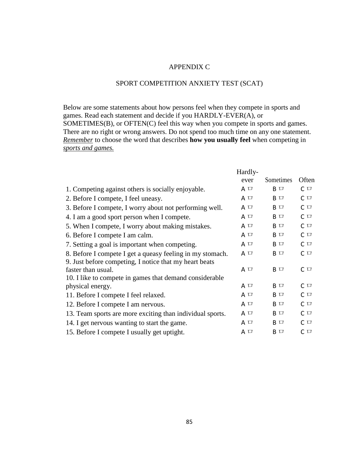### APPENDIX C

# SPORT COMPETITION ANXIETY TEST (SCAT)

Below are some statements about how persons feel when they compete in sports and games. Read each statement and decide if you HARDLY-EVER(A), or SOMETIMES(B), or OFTEN(C) feel this way when you compete in sports and games. There are no right or wrong answers. Do not spend too much time on any one statement. *Remember* to choose the word that describes **how you usually feel** when competing in *sports and games.*

|                                                           | Hardly-  |               |          |
|-----------------------------------------------------------|----------|---------------|----------|
|                                                           | ever     | Sometimes     | Often    |
| 1. Competing against others is socially enjoyable.        | $A \Box$ | B □           | $C \Box$ |
| 2. Before I compete, I feel uneasy.                       | $A \Box$ | $B$ $\Box$    | $C \Box$ |
| 3. Before I compete, I worry about not performing well.   | A $\Box$ | $B$ $\Box$    | $C \Box$ |
| 4. I am a good sport person when I compete.               | A $\Box$ | $B$ $\Box$    | $C \Box$ |
| 5. When I compete, I worry about making mistakes.         | A $\Box$ | $B$ $\square$ | $C \Box$ |
| 6. Before I compete I am calm.                            | $A \Box$ | $B$ $\Box$    | $C \Box$ |
| 7. Setting a goal is important when competing.            | $A \Box$ | $B$ $\Box$    | $C \Box$ |
| 8. Before I compete I get a queasy feeling in my stomach. | A $\Box$ | $B$ $\Box$    | $C \Box$ |
| 9. Just before competing, I notice that my heart beats    |          |               |          |
| faster than usual.                                        | A $\Box$ | $B$ $\Box$    | $C \Box$ |
| 10. I like to compete in games that demand considerable   |          |               |          |
| physical energy.                                          | A $\Box$ | B □           | $C \Box$ |
| 11. Before I compete I feel relaxed.                      | A $\Box$ | B □           | $C \Box$ |
| 12. Before I compete I am nervous.                        | A $\Box$ | $B$ $\Box$    | $C \Box$ |
| 13. Team sports are more exciting than individual sports. | A $\Box$ | $B$ $\Box$    | $C \Box$ |
| 14. I get nervous wanting to start the game.              | A $\Box$ | $B$ $\Box$    | $C \Box$ |
| 15. Before I compete I usually get uptight.               | $A \Box$ | $B$ $\Box$    | $C \Box$ |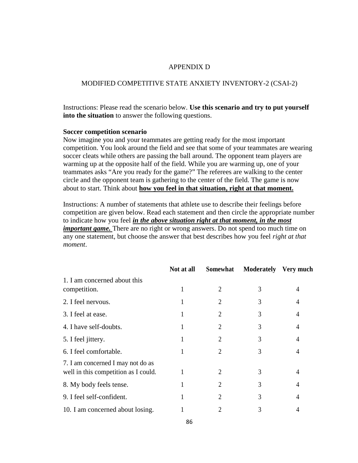### APPENDIX D

## MODIFIED COMPETITIVE STATE ANXIETY INVENTORY-2 (CSAI-2)

Instructions: Please read the scenario below. **Use this scenario and try to put yourself into the situation** to answer the following questions.

#### **Soccer competition scenario**

Now imagine you and your teammates are getting ready for the most important competition. You look around the field and see that some of your teammates are wearing soccer cleats while others are passing the ball around. The opponent team players are warming up at the opposite half of the field. While you are warming up, one of your teammates asks "Are you ready for the game?" The referees are walking to the center circle and the opponent team is gathering to the center of the field. The game is now about to start. Think about **how you feel in that situation, right at that moment.**

Instructions: A number of statements that athlete use to describe their feelings before competition are given below. Read each statement and then circle the appropriate number to indicate how you feel *in the above situation right at that moment, in the most important game*. There are no right or wrong answers. Do not spend too much time on any one statement, but choose the answer that best describes how you feel *right at that moment*.

|                                                                           | Not at all | Somewhat | Moderately Very much |   |
|---------------------------------------------------------------------------|------------|----------|----------------------|---|
| 1. I am concerned about this<br>competition.                              |            | 2        | 3                    | 4 |
| 2. I feel nervous.                                                        |            | 2        | 3                    | 4 |
| 3. I feel at ease.                                                        |            | 2        | 3                    | 4 |
| 4. I have self-doubts.                                                    |            | 2        | 3                    | 4 |
| 5. I feel jittery.                                                        |            | 2        | 3                    | 4 |
| 6. I feel comfortable.                                                    |            | 2        | 3                    | 4 |
| 7. I am concerned I may not do as<br>well in this competition as I could. |            | 2        | 3                    | 4 |
| 8. My body feels tense.                                                   |            | 2        | 3                    | 4 |
| 9. I feel self-confident.                                                 |            | 2        | 3                    | 4 |
| 10. I am concerned about losing.                                          |            | 2        | 3                    |   |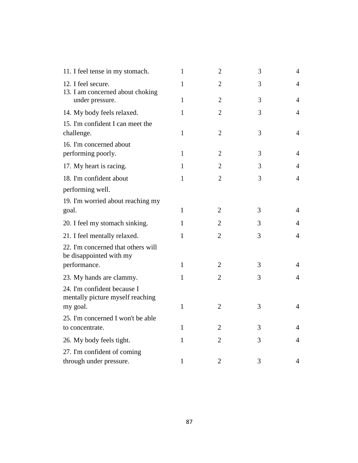| 11. I feel tense in my stomach.                                 | 1            | $\overline{2}$ | 3 | $\overline{4}$ |  |
|-----------------------------------------------------------------|--------------|----------------|---|----------------|--|
| 12. I feel secure.<br>13. I am concerned about choking          | 1            | $\overline{2}$ | 3 | 4              |  |
| under pressure.                                                 | $\mathbf{1}$ | $\overline{2}$ | 3 | 4              |  |
| 14. My body feels relaxed.                                      | $\mathbf{1}$ | $\mathfrak{2}$ | 3 | $\overline{4}$ |  |
| 15. I'm confident I can meet the<br>challenge.                  | $\mathbf{1}$ | $\overline{2}$ | 3 | $\overline{4}$ |  |
| 16. I'm concerned about<br>performing poorly.                   | $\mathbf{1}$ | $\overline{2}$ | 3 | $\overline{4}$ |  |
| 17. My heart is racing.                                         | 1            | $\overline{2}$ | 3 | 4              |  |
| 18. I'm confident about<br>performing well.                     | $\mathbf{1}$ | $\overline{2}$ | 3 | $\overline{4}$ |  |
| 19. I'm worried about reaching my<br>goal.                      | $\mathbf{1}$ | $\overline{2}$ | 3 | $\overline{4}$ |  |
| 20. I feel my stomach sinking.                                  | 1            | $\overline{2}$ | 3 | 4              |  |
| 21. I feel mentally relaxed.                                    | $\mathbf{1}$ | $\overline{2}$ | 3 | $\overline{4}$ |  |
| 22. I'm concerned that others will<br>be disappointed with my   |              |                |   |                |  |
| performance.                                                    | $\mathbf{1}$ | $\overline{2}$ | 3 | 4              |  |
| 23. My hands are clammy.                                        | 1            | $\overline{2}$ | 3 | $\overline{4}$ |  |
| 24. I'm confident because I<br>mentally picture myself reaching |              |                |   |                |  |
| my goal.                                                        | 1            | $\overline{2}$ | 3 | $\overline{4}$ |  |
| 25. I'm concerned I won't be able<br>to concentrate.            | 1            | 2              | 3 | 4              |  |
| 26. My body feels tight.                                        | $\mathbf{1}$ | $\overline{2}$ | 3 | 4              |  |
| 27. I'm confident of coming<br>through under pressure.          | 1            | $\overline{2}$ | 3 | 4              |  |
|                                                                 |              |                |   |                |  |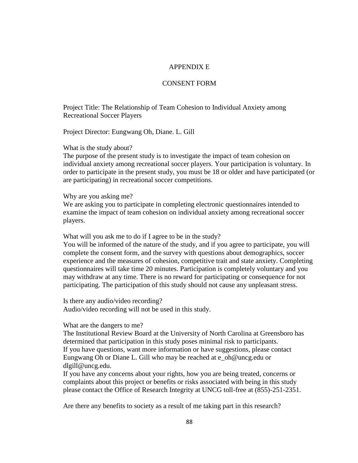### APPENDIX E

### CONSENT FORM

Project Title: The Relationship of Team Cohesion to Individual Anxiety among Recreational Soccer Players

Project Director: Eungwang Oh, Diane. L. Gill

### What is the study about?

The purpose of the present study is to investigate the impact of team cohesion on individual anxiety among recreational soccer players. Your participation is voluntary. In order to participate in the present study, you must be 18 or older and have participated (or are participating) in recreational soccer competitions.

#### Why are you asking me?

We are asking you to participate in completing electronic questionnaires intended to examine the impact of team cohesion on individual anxiety among recreational soccer players.

What will you ask me to do if I agree to be in the study?

You will be informed of the nature of the study, and if you agree to participate, you will complete the consent form, and the survey with questions about demographics, soccer experience and the measures of cohesion, competitive trait and state anxiety. Completing questionnaires will take time 20 minutes. Participation is completely voluntary and you may withdraw at any time. There is no reward for participating or consequence for not participating. The participation of this study should not cause any unpleasant stress.

Is there any audio/video recording? Audio/video recording will not be used in this study.

#### What are the dangers to me?

The Institutional Review Board at the University of North Carolina at Greensboro has determined that participation in this study poses minimal risk to participants. If you have questions, want more information or have suggestions, please contact Eungwang Oh or Diane L. Gill who may be reached at e\_oh@uncg.edu or dlgill@uncg.edu.

If you have any concerns about your rights, how you are being treated, concerns or complaints about this project or benefits or risks associated with being in this study please contact the Office of Research Integrity at UNCG toll-free at (855)-251-2351.

Are there any benefits to society as a result of me taking part in this research?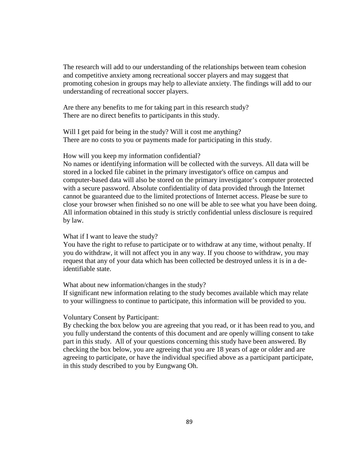The research will add to our understanding of the relationships between team cohesion and competitive anxiety among recreational soccer players and may suggest that promoting cohesion in groups may help to alleviate anxiety. The findings will add to our understanding of recreational soccer players.

Are there any benefits to me for taking part in this research study? There are no direct benefits to participants in this study.

Will I get paid for being in the study? Will it cost me anything? There are no costs to you or payments made for participating in this study.

#### How will you keep my information confidential?

No names or identifying information will be collected with the surveys. All data will be stored in a locked file cabinet in the primary investigator's office on campus and computer-based data will also be stored on the primary investigator's computer protected with a secure password. Absolute confidentiality of data provided through the Internet cannot be guaranteed due to the limited protections of Internet access. Please be sure to close your browser when finished so no one will be able to see what you have been doing. All information obtained in this study is strictly confidential unless disclosure is required by law.

#### What if I want to leave the study?

You have the right to refuse to participate or to withdraw at any time, without penalty. If you do withdraw, it will not affect you in any way. If you choose to withdraw, you may request that any of your data which has been collected be destroyed unless it is in a deidentifiable state.

#### What about new information/changes in the study?

If significant new information relating to the study becomes available which may relate to your willingness to continue to participate, this information will be provided to you.

#### Voluntary Consent by Participant:

By checking the box below you are agreeing that you read, or it has been read to you, and you fully understand the contents of this document and are openly willing consent to take part in this study. All of your questions concerning this study have been answered. By checking the box below, you are agreeing that you are 18 years of age or older and are agreeing to participate, or have the individual specified above as a participant participate, in this study described to you by Eungwang Oh.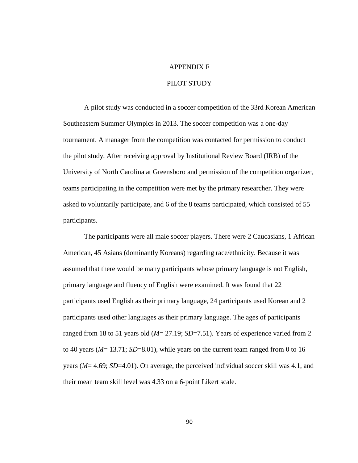#### APPENDIX F

## PILOT STUDY

A pilot study was conducted in a soccer competition of the 33rd Korean American Southeastern Summer Olympics in 2013. The soccer competition was a one-day tournament. A manager from the competition was contacted for permission to conduct the pilot study. After receiving approval by Institutional Review Board (IRB) of the University of North Carolina at Greensboro and permission of the competition organizer, teams participating in the competition were met by the primary researcher. They were asked to voluntarily participate, and 6 of the 8 teams participated, which consisted of 55 participants.

The participants were all male soccer players. There were 2 Caucasians, 1 African American, 45 Asians (dominantly Koreans) regarding race/ethnicity. Because it was assumed that there would be many participants whose primary language is not English, primary language and fluency of English were examined. It was found that 22 participants used English as their primary language, 24 participants used Korean and 2 participants used other languages as their primary language. The ages of participants ranged from 18 to 51 years old (*M*= 27.19; *SD*=7.51). Years of experience varied from 2 to 40 years (*M*= 13.71; *SD*=8.01), while years on the current team ranged from 0 to 16 years (*M*= 4.69; *SD*=4.01). On average, the perceived individual soccer skill was 4.1, and their mean team skill level was 4.33 on a 6-point Likert scale.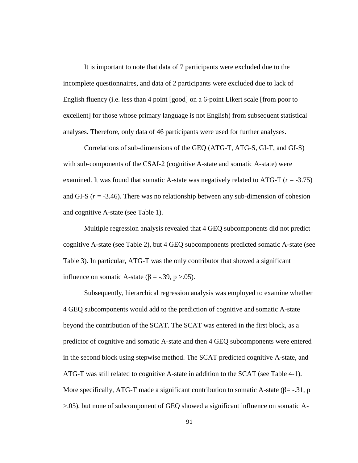It is important to note that data of 7 participants were excluded due to the incomplete questionnaires, and data of 2 participants were excluded due to lack of English fluency (i.e. less than 4 point [good] on a 6-point Likert scale [from poor to excellent] for those whose primary language is not English) from subsequent statistical analyses. Therefore, only data of 46 participants were used for further analyses.

Correlations of sub-dimensions of the GEQ (ATG-T, ATG-S, GI-T, and GI-S) with sub-components of the CSAI-2 (cognitive A-state and somatic A-state) were examined. It was found that somatic A-state was negatively related to ATG-T (*r* = -3.75) and GI-S  $(r = -3.46)$ . There was no relationship between any sub-dimension of cohesion and cognitive A-state (see Table 1).

Multiple regression analysis revealed that 4 GEQ subcomponents did not predict cognitive A-state (see Table 2), but 4 GEQ subcomponents predicted somatic A-state (see Table 3). In particular, ATG-T was the only contributor that showed a significant influence on somatic A-state ( $=$  -.39, p >.05).

Subsequently, hierarchical regression analysis was employed to examine whether 4 GEQ subcomponents would add to the prediction of cognitive and somatic A-state beyond the contribution of the SCAT. The SCAT was entered in the first block, as a predictor of cognitive and somatic A-state and then 4 GEQ subcomponents were entered in the second block using stepwise method. The SCAT predicted cognitive A-state, and ATG-T was still related to cognitive A-state in addition to the SCAT (see Table 4-1). More specifically, ATG-T made a significant contribution to somatic A-state ( $=$  -.31, p >.05), but none of subcomponent of GEQ showed a significant influence on somatic A-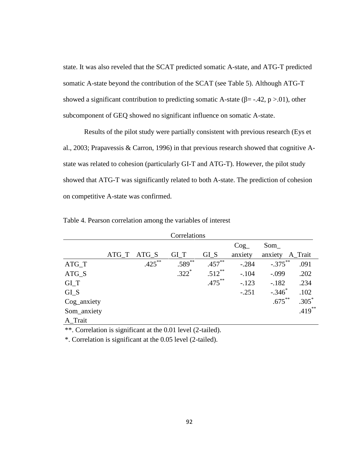state. It was also reveled that the SCAT predicted somatic A-state, and ATG-T predicted somatic A-state beyond the contribution of the SCAT (see Table 5). Although ATG-T showed a significant contribution to predicting somatic A-state ( $=$  -.42, p >.01), other subcomponent of GEQ showed no significant influence on somatic A-state.

Results of the pilot study were partially consistent with previous research (Eys et al., 2003; Prapavessis & Carron, 1996) in that previous research showed that cognitive A state was related to cohesion (particularly GI-T and ATG-T). However, the pilot study showed that ATG-T was significantly related to both A-state. The prediction of cohesion on competitive A-state was confirmed.

|             |             | Correlations |           |         |                 |           |
|-------------|-------------|--------------|-----------|---------|-----------------|-----------|
|             |             |              |           | Cog     | Som             |           |
|             | ATG_T ATG_S | GI T         | GLS       | anxiety | anxiety A_Trait |           |
| $ATG_T$     | $.425***$   | $.589^{**}$  | $.457***$ | $-.284$ | $-.375***$      | .091      |
| ATG_S       |             | $.322*$      | $.512***$ | $-.104$ | $-.099$         | .202      |
| GLT         |             |              | $.475***$ | $-.123$ | $-.182$         | .234      |
| GLS         |             |              |           | $-.251$ | $-.346$         | .102      |
| Cog_anxiety |             |              |           |         | $.675***$       | $.305*$   |
| Som_anxiety |             |              |           |         |                 | $.419***$ |
| A Trait     |             |              |           |         |                 |           |

Table 4. Pearson correlation among the variables of interest

\*\*. Correlation is significant at the 0.01 level (2-tailed).

\*. Correlation is significant at the 0.05 level (2-tailed).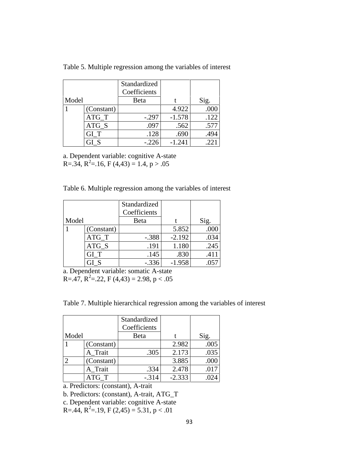|       |            | Standardized |          |      |
|-------|------------|--------------|----------|------|
|       |            | Coefficients |          |      |
| Model |            | Beta         |          | Sig. |
|       | (Constant) |              | 4.922    | .000 |
|       | $ATG_T$    | $-.297$      | $-1.578$ | .122 |
|       | ATG S      | .097         | .562     | .577 |
|       | GI T       | .128         | .690     | .494 |
|       |            | $-.226$      | $-1.241$ | .221 |

Table 5. Multiple regression among the variables of interest

a. Dependent variable: cognitive A-state R= $.34, R^2$ = $.16, F(4,43) = 1.4, p > .05$ 

Table 6. Multiple regression among the variables of interest

|       |            | Standardized |          |      |
|-------|------------|--------------|----------|------|
|       |            | Coefficients |          |      |
| Model |            | Beta         |          | Sig. |
|       | (Constant) |              | 5.852    | .000 |
|       | $ATG_T$    | $-.388$      | $-2.192$ | .034 |
|       | $ATG_S$    | .191         | 1.180    | .245 |
|       | GI T       | .145         | .830     | .411 |
|       |            | $-.336$      | $-1.958$ | .057 |

a. Dependent variable: somatic A-state R= $.47, R^2 = .22, F(4,43) = 2.98, p < .05$ 

Table 7. Multiple hierarchical regression among the variables of interest

|                             |            | Standardized<br>Coefficients |          |      |
|-----------------------------|------------|------------------------------|----------|------|
| Model                       |            | Beta                         |          | Sig. |
|                             | (Constant) |                              | 2.982    | .005 |
|                             | A Trait    | .305                         | 2.173    | .035 |
| $\mathcal{D}_{\mathcal{L}}$ | (Constant) |                              | 3.885    | .000 |
|                             | A_Trait    | .334                         | 2.478    | .017 |
|                             | ATG T      | $-.314$                      | $-2.333$ | .024 |

a. Predictors: (constant), A-trait

b. Predictors: (constant), A-trait, ATG\_T

c. Dependent variable: cognitive A-state

R=.44, R<sup>2</sup>=.19, F (2,45) = 5.31, p < .01